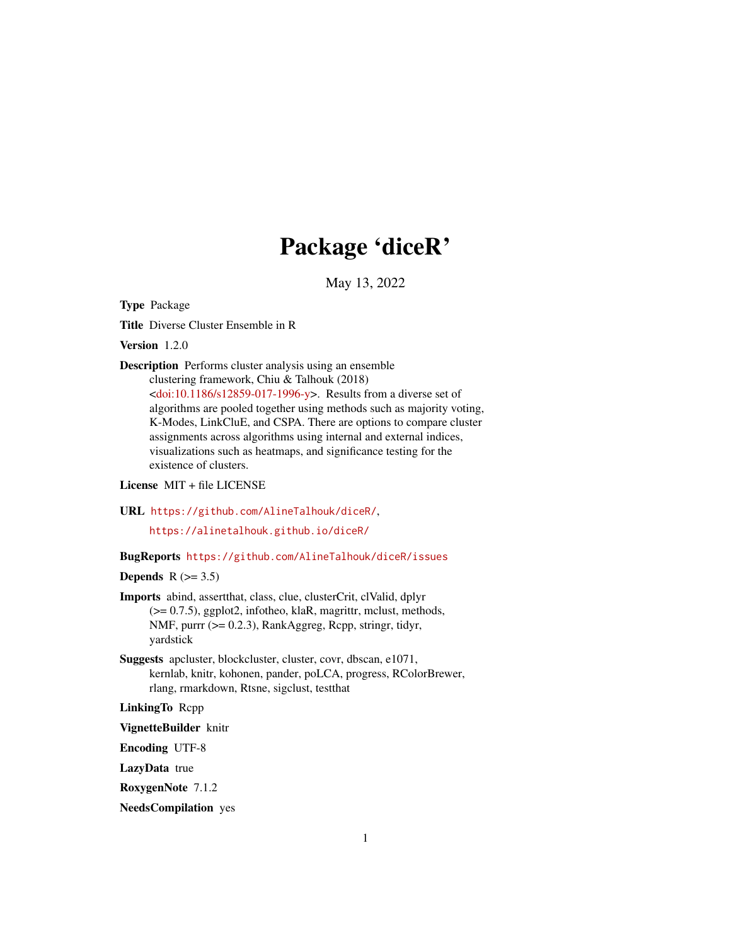# Package 'diceR'

May 13, 2022

<span id="page-0-0"></span>Type Package

Title Diverse Cluster Ensemble in R

Version 1.2.0

Description Performs cluster analysis using an ensemble clustering framework, Chiu & Talhouk (2018)

> [<doi:10.1186/s12859-017-1996-y>](https://doi.org/10.1186/s12859-017-1996-y). Results from a diverse set of algorithms are pooled together using methods such as majority voting, K-Modes, LinkCluE, and CSPA. There are options to compare cluster assignments across algorithms using internal and external indices, visualizations such as heatmaps, and significance testing for the existence of clusters.

License MIT + file LICENSE

URL <https://github.com/AlineTalhouk/diceR/>,

<https://alinetalhouk.github.io/diceR/>

BugReports <https://github.com/AlineTalhouk/diceR/issues>

Depends  $R$  ( $>= 3.5$ )

- Imports abind, assertthat, class, clue, clusterCrit, clValid, dplyr (>= 0.7.5), ggplot2, infotheo, klaR, magrittr, mclust, methods, NMF, purrr (>= 0.2.3), RankAggreg, Rcpp, stringr, tidyr, yardstick
- Suggests apcluster, blockcluster, cluster, covr, dbscan, e1071, kernlab, knitr, kohonen, pander, poLCA, progress, RColorBrewer, rlang, rmarkdown, Rtsne, sigclust, testthat

LinkingTo Rcpp

VignetteBuilder knitr

Encoding UTF-8

LazyData true

RoxygenNote 7.1.2

NeedsCompilation yes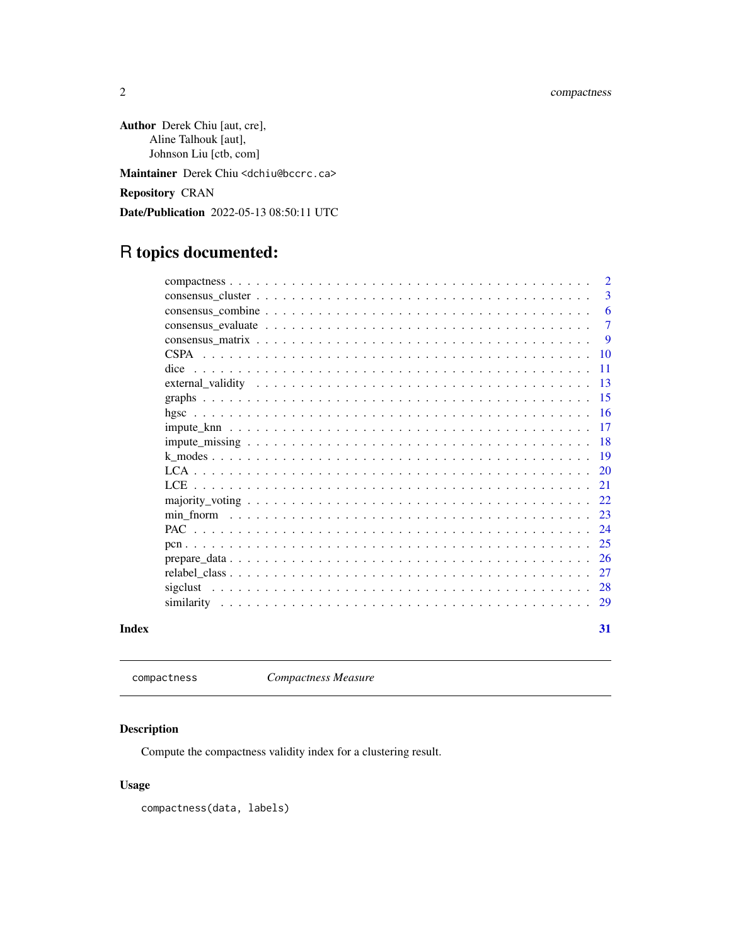<span id="page-1-0"></span>Author Derek Chiu [aut, cre], Aline Talhouk [aut], Johnson Liu [ctb, com]

Maintainer Derek Chiu <dchiu@bccrc.ca>

Repository CRAN

Date/Publication 2022-05-13 08:50:11 UTC

# R topics documented:

|       |                                                                                                                                                      | $\overline{2}$  |
|-------|------------------------------------------------------------------------------------------------------------------------------------------------------|-----------------|
|       |                                                                                                                                                      | 3               |
|       |                                                                                                                                                      | 6               |
|       | consensus evaluate $\ldots$ , $\ldots$ , $\ldots$ , $\ldots$ , $\ldots$ , $\ldots$ , $\ldots$ , $\ldots$ , $\ldots$ , $\ldots$ , $\ldots$ , $\ldots$ | $\overline{7}$  |
|       | consensus matrix $\ldots$ , $\ldots$ , $\ldots$ , $\ldots$ , $\ldots$ , $\ldots$ , $\ldots$ , $\ldots$ , $\ldots$ , $\ldots$ , $\ldots$ , $\ldots$   | -9              |
|       |                                                                                                                                                      | <b>10</b>       |
|       | dice                                                                                                                                                 | -11             |
|       |                                                                                                                                                      | $\overline{13}$ |
|       |                                                                                                                                                      | $-15$           |
|       |                                                                                                                                                      |                 |
|       |                                                                                                                                                      | $\overline{17}$ |
|       |                                                                                                                                                      |                 |
|       |                                                                                                                                                      |                 |
|       |                                                                                                                                                      |                 |
|       | LCE.                                                                                                                                                 | -21             |
|       |                                                                                                                                                      |                 |
|       |                                                                                                                                                      | 23              |
|       |                                                                                                                                                      | 24              |
|       |                                                                                                                                                      | 25              |
|       |                                                                                                                                                      | -26             |
|       |                                                                                                                                                      | 27              |
|       |                                                                                                                                                      |                 |
|       |                                                                                                                                                      |                 |
| Index |                                                                                                                                                      | 31              |

compactness *Compactness Measure*

# Description

Compute the compactness validity index for a clustering result.

# Usage

compactness(data, labels)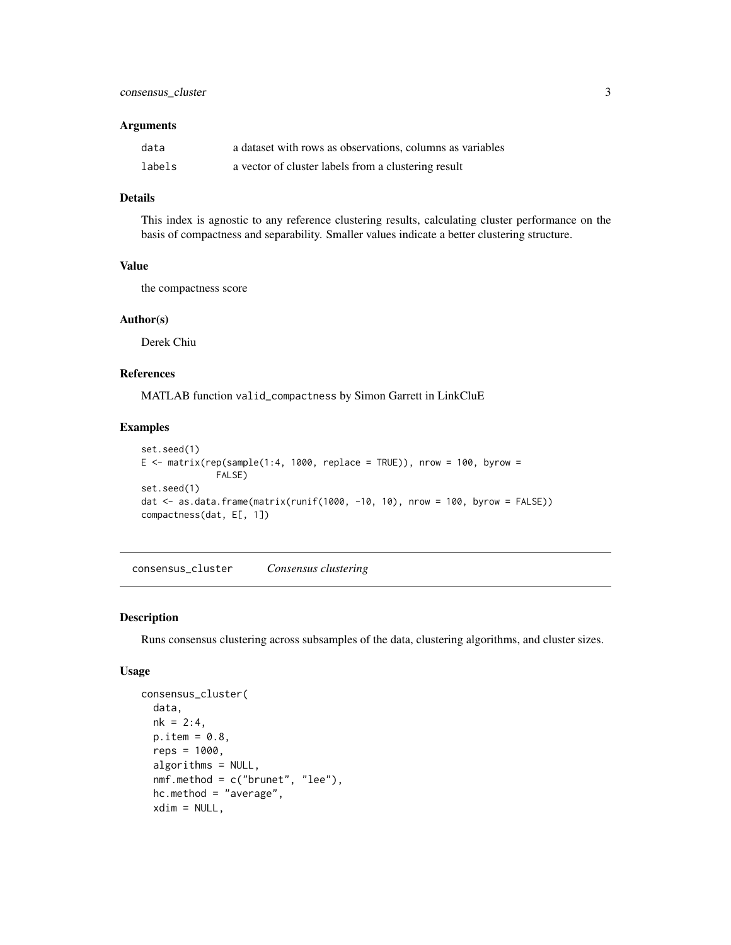#### <span id="page-2-0"></span>**Arguments**

| data   | a dataset with rows as observations, columns as variables |
|--------|-----------------------------------------------------------|
| labels | a vector of cluster labels from a clustering result       |

# Details

This index is agnostic to any reference clustering results, calculating cluster performance on the basis of compactness and separability. Smaller values indicate a better clustering structure.

# Value

the compactness score

#### Author(s)

Derek Chiu

# References

MATLAB function valid\_compactness by Simon Garrett in LinkCluE

# Examples

```
set.seed(1)
E \leq matrix(rep(sample(1:4, 1000, replace = TRUE)), nrow = 100, byrow =
              FALSE)
set.seed(1)
dat <- as.data.frame(matrix(runif(1000, -10, 10), nrow = 100, byrow = FALSE))
compactness(dat, E[, 1])
```
<span id="page-2-1"></span>consensus\_cluster *Consensus clustering*

# Description

Runs consensus clustering across subsamples of the data, clustering algorithms, and cluster sizes.

#### Usage

```
consensus_cluster(
  data,
 nk = 2:4,p.item = 0.8reps = 1000,algorithms = NULL,
  nmf.method = c("brunet", "lee"),
  hc.method = "average",
  xdim = NULL,
```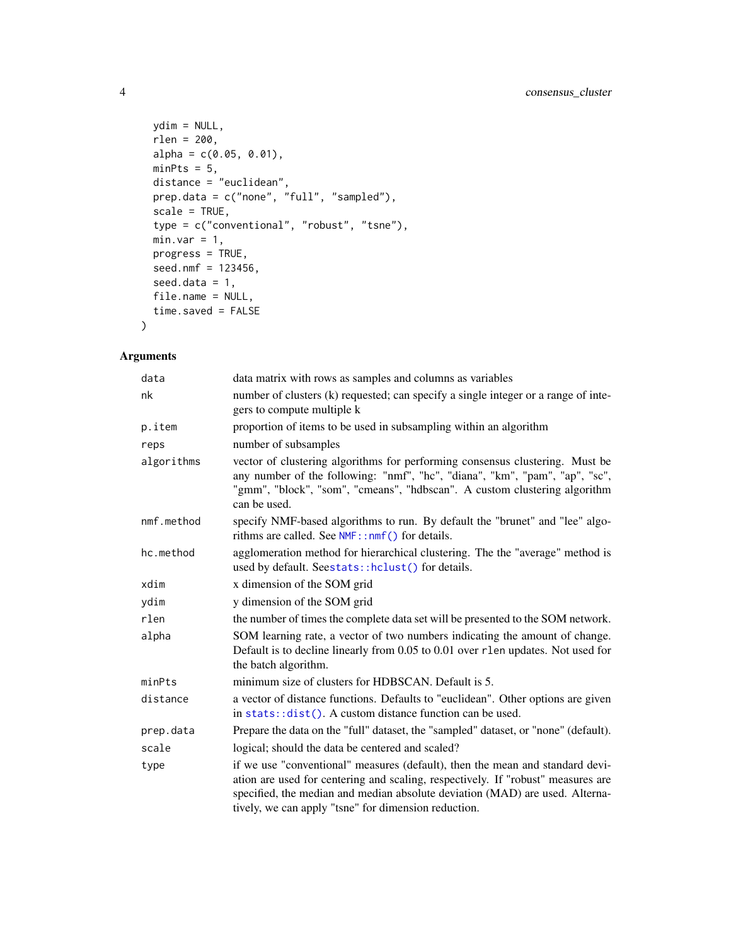```
ydim = NULL,
 rlen = 200,
 alpha = c(0.05, 0.01),minPts = 5,distance = "euclidean",
 prep.data = c("none", "full", "sampled"),
 scale = TRUE,
  type = c("conventional", "robust", "tsne"),
 minvar = 1,
 progress = TRUE,
 seed.nmf = 123456,
  seed.data = 1,
 file.name = NULL,
 time.saved = FALSE
\mathcal{L}
```
# Arguments

| data matrix with rows as samples and columns as variables                                                                                                                                                                                                                                                 |
|-----------------------------------------------------------------------------------------------------------------------------------------------------------------------------------------------------------------------------------------------------------------------------------------------------------|
| number of clusters (k) requested; can specify a single integer or a range of inte-<br>gers to compute multiple k                                                                                                                                                                                          |
| proportion of items to be used in subsampling within an algorithm                                                                                                                                                                                                                                         |
| number of subsamples                                                                                                                                                                                                                                                                                      |
| vector of clustering algorithms for performing consensus clustering. Must be<br>any number of the following: "nmf", "hc", "diana", "km", "pam", "ap", "sc",<br>"gmm", "block", "som", "cmeans", "hdbscan". A custom clustering algorithm<br>can be used.                                                  |
| specify NMF-based algorithms to run. By default the "brunet" and "lee" algo-<br>rithms are called. See $NMF$ : : nmf() for details.                                                                                                                                                                       |
| agglomeration method for hierarchical clustering. The the "average" method is<br>used by default. Seestats::hclust() for details.                                                                                                                                                                         |
| x dimension of the SOM grid                                                                                                                                                                                                                                                                               |
| y dimension of the SOM grid                                                                                                                                                                                                                                                                               |
| the number of times the complete data set will be presented to the SOM network.                                                                                                                                                                                                                           |
| SOM learning rate, a vector of two numbers indicating the amount of change.<br>Default is to decline linearly from 0.05 to 0.01 over r1en updates. Not used for<br>the batch algorithm.                                                                                                                   |
| minimum size of clusters for HDBSCAN. Default is 5.                                                                                                                                                                                                                                                       |
| a vector of distance functions. Defaults to "euclidean". Other options are given<br>in stats::dist(). A custom distance function can be used.                                                                                                                                                             |
| Prepare the data on the "full" dataset, the "sampled" dataset, or "none" (default).                                                                                                                                                                                                                       |
| logical; should the data be centered and scaled?                                                                                                                                                                                                                                                          |
| if we use "conventional" measures (default), then the mean and standard devi-<br>ation are used for centering and scaling, respectively. If "robust" measures are<br>specified, the median and median absolute deviation (MAD) are used. Alterna-<br>tively, we can apply "tsne" for dimension reduction. |
|                                                                                                                                                                                                                                                                                                           |

<span id="page-3-0"></span>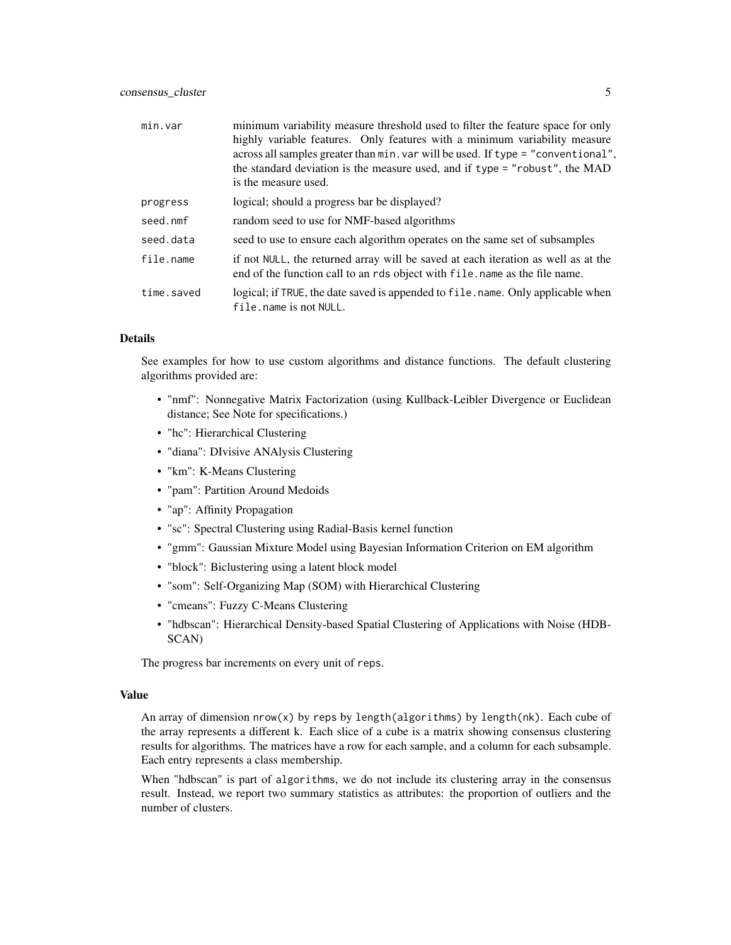| min.var    | minimum variability measure threshold used to filter the feature space for only<br>highly variable features. Only features with a minimum variability measure<br>across all samples greater than min. var will be used. If type = "conventional",<br>the standard deviation is the measure used, and if type = "robust", the MAD<br>is the measure used. |
|------------|----------------------------------------------------------------------------------------------------------------------------------------------------------------------------------------------------------------------------------------------------------------------------------------------------------------------------------------------------------|
| progress   | logical; should a progress bar be displayed?                                                                                                                                                                                                                                                                                                             |
| seed.nmf   | random seed to use for NMF-based algorithms                                                                                                                                                                                                                                                                                                              |
| seed.data  | seed to use to ensure each algorithm operates on the same set of subsamples                                                                                                                                                                                                                                                                              |
| file.name  | if not NULL, the returned array will be saved at each iteration as well as at the<br>end of the function call to an rds object with file, name as the file name.                                                                                                                                                                                         |
| time.saved | logical; if TRUE, the date saved is appended to file. name. Only applicable when<br>file.name is not NULL.                                                                                                                                                                                                                                               |

# Details

See examples for how to use custom algorithms and distance functions. The default clustering algorithms provided are:

- "nmf": Nonnegative Matrix Factorization (using Kullback-Leibler Divergence or Euclidean distance; See Note for specifications.)
- "hc": Hierarchical Clustering
- "diana": DIvisive ANAlysis Clustering
- "km": K-Means Clustering
- "pam": Partition Around Medoids
- "ap": Affinity Propagation
- "sc": Spectral Clustering using Radial-Basis kernel function
- "gmm": Gaussian Mixture Model using Bayesian Information Criterion on EM algorithm
- "block": Biclustering using a latent block model
- "som": Self-Organizing Map (SOM) with Hierarchical Clustering
- "cmeans": Fuzzy C-Means Clustering
- "hdbscan": Hierarchical Density-based Spatial Clustering of Applications with Noise (HDB-SCAN)

The progress bar increments on every unit of reps.

#### Value

An array of dimension nrow(x) by reps by length(algorithms) by length(nk). Each cube of the array represents a different k. Each slice of a cube is a matrix showing consensus clustering results for algorithms. The matrices have a row for each sample, and a column for each subsample. Each entry represents a class membership.

When "hdbscan" is part of algorithms, we do not include its clustering array in the consensus result. Instead, we report two summary statistics as attributes: the proportion of outliers and the number of clusters.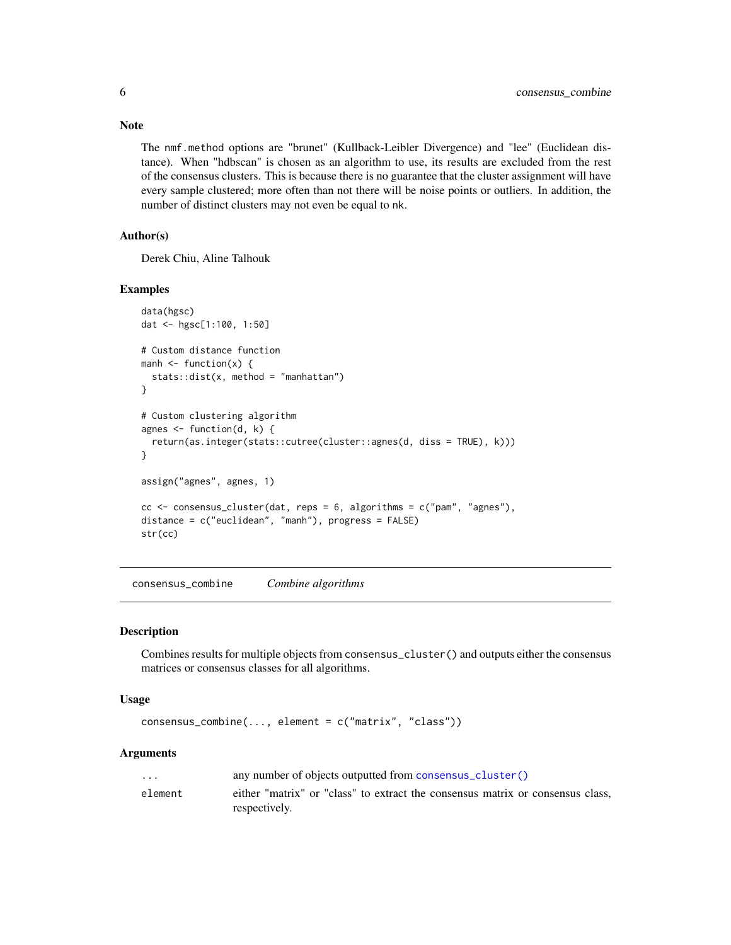The nmf.method options are "brunet" (Kullback-Leibler Divergence) and "lee" (Euclidean distance). When "hdbscan" is chosen as an algorithm to use, its results are excluded from the rest of the consensus clusters. This is because there is no guarantee that the cluster assignment will have every sample clustered; more often than not there will be noise points or outliers. In addition, the number of distinct clusters may not even be equal to nk.

# Author(s)

Derek Chiu, Aline Talhouk

#### Examples

```
data(hgsc)
dat <- hgsc[1:100, 1:50]
# Custom distance function
manh \leq function(x) {
  stats::dist(x, method = "manhattan")
}
# Custom clustering algorithm
agnes \leq function(d, k) {
  return(as.integer(stats::cutree(cluster::agnes(d, diss = TRUE), k)))
}
assign("agnes", agnes, 1)
cc <- consensus_cluster(dat, reps = 6, algorithms = c("pam", "agnes"),
distance = c("euclidean", "manh"), progress = FALSE)
str(cc)
```
consensus\_combine *Combine algorithms*

#### Description

Combines results for multiple objects from consensus\_cluster() and outputs either the consensus matrices or consensus classes for all algorithms.

#### Usage

consensus\_combine(..., element = c("matrix", "class"))

#### Arguments

| $\cdots$ | any number of objects outputted from consensus_cluster()                                        |
|----------|-------------------------------------------------------------------------------------------------|
| element  | either "matrix" or "class" to extract the consensus matrix or consensus class.<br>respectively. |

# <span id="page-5-0"></span>Note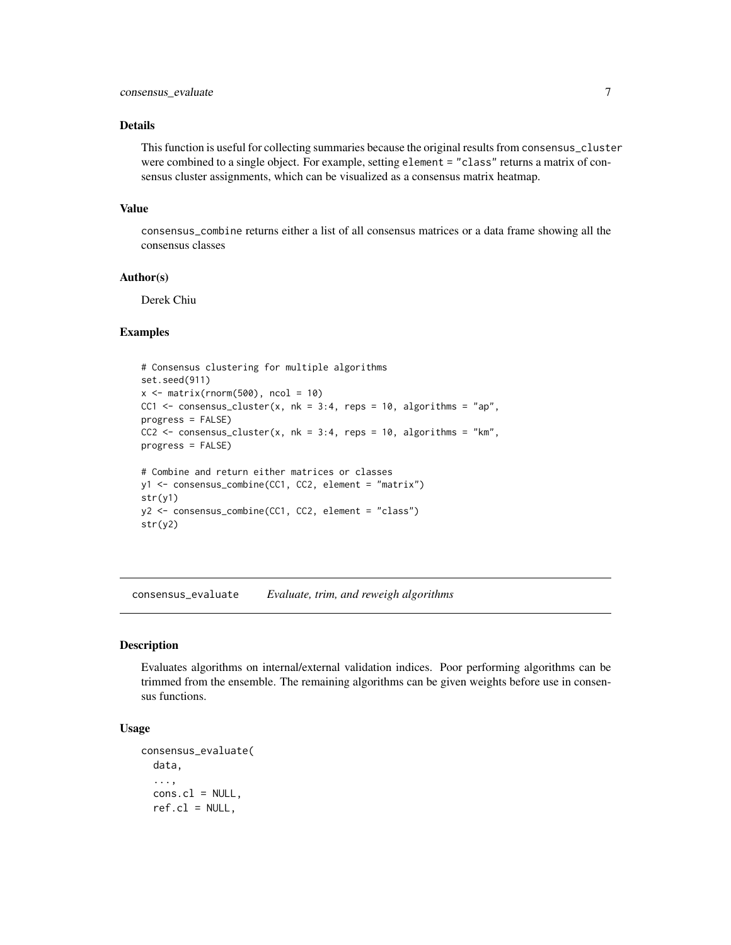# <span id="page-6-0"></span>Details

This function is useful for collecting summaries because the original results from consensus\_cluster were combined to a single object. For example, setting element = "class" returns a matrix of consensus cluster assignments, which can be visualized as a consensus matrix heatmap.

#### Value

consensus\_combine returns either a list of all consensus matrices or a data frame showing all the consensus classes

#### Author(s)

Derek Chiu

# Examples

```
# Consensus clustering for multiple algorithms
set.seed(911)
x \le matrix(rnorm(500), ncol = 10)
CC1 <- consensus_cluster(x, nk = 3:4, reps = 10, algorithms = "ap",
progress = FALSE)
CC2 \le consensus_cluster(x, nk = 3:4, reps = 10, algorithms = "km",
progress = FALSE)
# Combine and return either matrices or classes
y1 <- consensus_combine(CC1, CC2, element = "matrix")
str(y1)
y2 <- consensus_combine(CC1, CC2, element = "class")
str(y2)
```
consensus\_evaluate *Evaluate, trim, and reweigh algorithms*

#### **Description**

Evaluates algorithms on internal/external validation indices. Poor performing algorithms can be trimmed from the ensemble. The remaining algorithms can be given weights before use in consensus functions.

# Usage

```
consensus_evaluate(
  data,
  ...,
  cons.cl = NULL,ref(cl = NULL,
```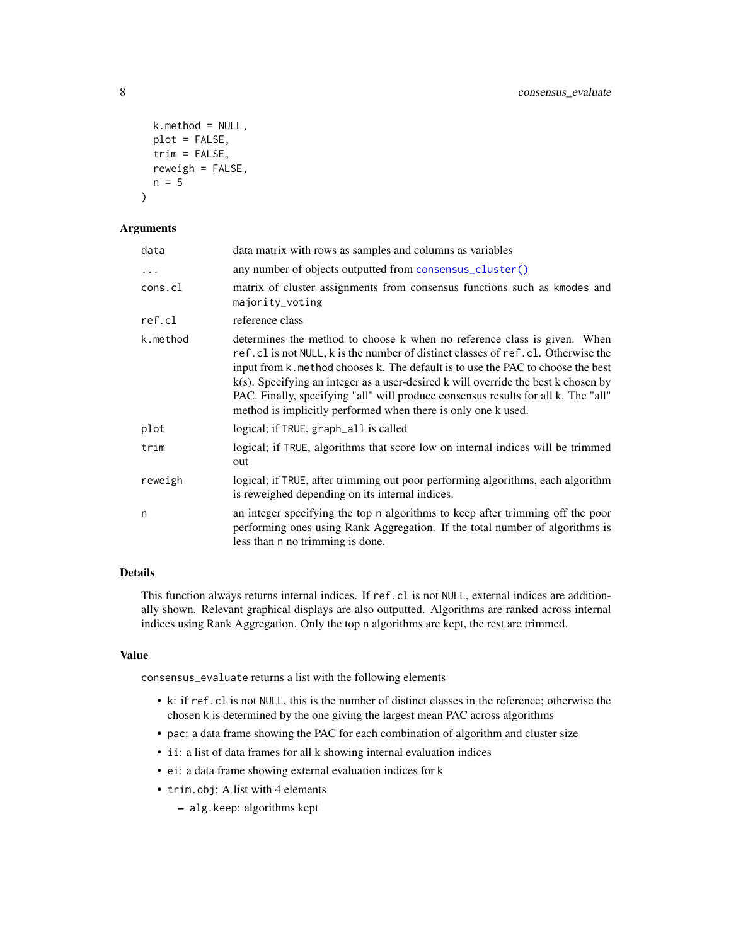```
k.method = NULL,
 plot = FALSE,
  trim = FALSE,
  reweight = FALSE,n = 5)
```
## Arguments

| data     | data matrix with rows as samples and columns as variables                                                                                                                                                                                                                                                                                                                                                                                                                                        |
|----------|--------------------------------------------------------------------------------------------------------------------------------------------------------------------------------------------------------------------------------------------------------------------------------------------------------------------------------------------------------------------------------------------------------------------------------------------------------------------------------------------------|
| .        | any number of objects outputted from consensus_cluster()                                                                                                                                                                                                                                                                                                                                                                                                                                         |
| cons.cl  | matrix of cluster assignments from consensus functions such as kmodes and<br>majority_voting                                                                                                                                                                                                                                                                                                                                                                                                     |
| ref.cl   | reference class                                                                                                                                                                                                                                                                                                                                                                                                                                                                                  |
| k.method | determines the method to choose k when no reference class is given. When<br>ref.cl is not NULL, k is the number of distinct classes of ref.cl. Otherwise the<br>input from k. method chooses k. The default is to use the PAC to choose the best<br>$k(s)$ . Specifying an integer as a user-desired k will override the best k chosen by<br>PAC. Finally, specifying "all" will produce consensus results for all k. The "all"<br>method is implicitly performed when there is only one k used. |
| plot     | logical; if TRUE, graph_all is called                                                                                                                                                                                                                                                                                                                                                                                                                                                            |
| trim     | logical; if TRUE, algorithms that score low on internal indices will be trimmed<br>out                                                                                                                                                                                                                                                                                                                                                                                                           |
| reweigh  | logical; if TRUE, after trimming out poor performing algorithms, each algorithm<br>is reweighed depending on its internal indices.                                                                                                                                                                                                                                                                                                                                                               |
| n        | an integer specifying the top n algorithms to keep after trimming off the poor<br>performing ones using Rank Aggregation. If the total number of algorithms is<br>less than n no trimming is done.                                                                                                                                                                                                                                                                                               |

# Details

This function always returns internal indices. If ref.cl is not NULL, external indices are additionally shown. Relevant graphical displays are also outputted. Algorithms are ranked across internal indices using Rank Aggregation. Only the top n algorithms are kept, the rest are trimmed.

# Value

consensus\_evaluate returns a list with the following elements

- k: if ref.cl is not NULL, this is the number of distinct classes in the reference; otherwise the chosen k is determined by the one giving the largest mean PAC across algorithms
- pac: a data frame showing the PAC for each combination of algorithm and cluster size
- ii: a list of data frames for all k showing internal evaluation indices
- ei: a data frame showing external evaluation indices for k
- trim.obj: A list with 4 elements
	- alg.keep: algorithms kept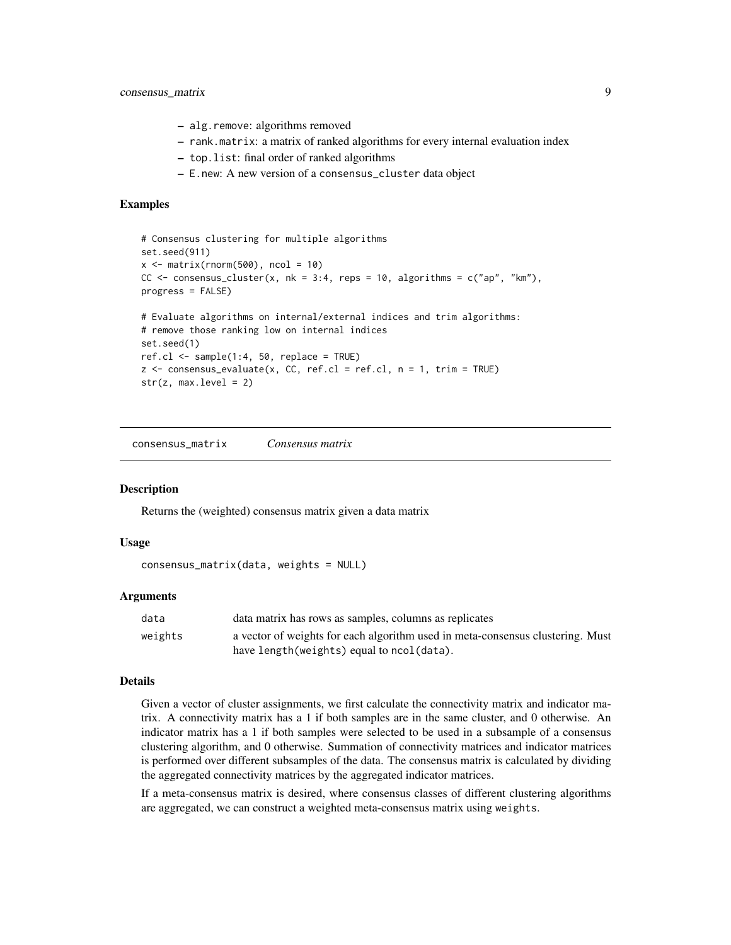- <span id="page-8-0"></span>– alg.remove: algorithms removed
- rank.matrix: a matrix of ranked algorithms for every internal evaluation index
- top.list: final order of ranked algorithms
- E.new: A new version of a consensus\_cluster data object

```
# Consensus clustering for multiple algorithms
set.seed(911)
x \le matrix(rnorm(500), ncol = 10)
CC \leq consensus_cluster(x, nk = 3:4, reps = 10, algorithms = c("ap", "km"),
progress = FALSE)
# Evaluate algorithms on internal/external indices and trim algorithms:
# remove those ranking low on internal indices
set.seed(1)
ref.cl \leq sample(1:4, 50, replace = TRUE)
z \le consensus_evaluate(x, CC, ref.cl = ref.cl, n = 1, trim = TRUE)
str(z, max. level = 2)
```
consensus\_matrix *Consensus matrix*

#### Description

Returns the (weighted) consensus matrix given a data matrix

#### Usage

```
consensus_matrix(data, weights = NULL)
```
#### Arguments

| data    | data matrix has rows as samples, columns as replicates                         |
|---------|--------------------------------------------------------------------------------|
| weights | a vector of weights for each algorithm used in meta-consensus clustering. Must |
|         | have length (weights) equal to ncol (data).                                    |

# Details

Given a vector of cluster assignments, we first calculate the connectivity matrix and indicator matrix. A connectivity matrix has a 1 if both samples are in the same cluster, and 0 otherwise. An indicator matrix has a 1 if both samples were selected to be used in a subsample of a consensus clustering algorithm, and 0 otherwise. Summation of connectivity matrices and indicator matrices is performed over different subsamples of the data. The consensus matrix is calculated by dividing the aggregated connectivity matrices by the aggregated indicator matrices.

If a meta-consensus matrix is desired, where consensus classes of different clustering algorithms are aggregated, we can construct a weighted meta-consensus matrix using weights.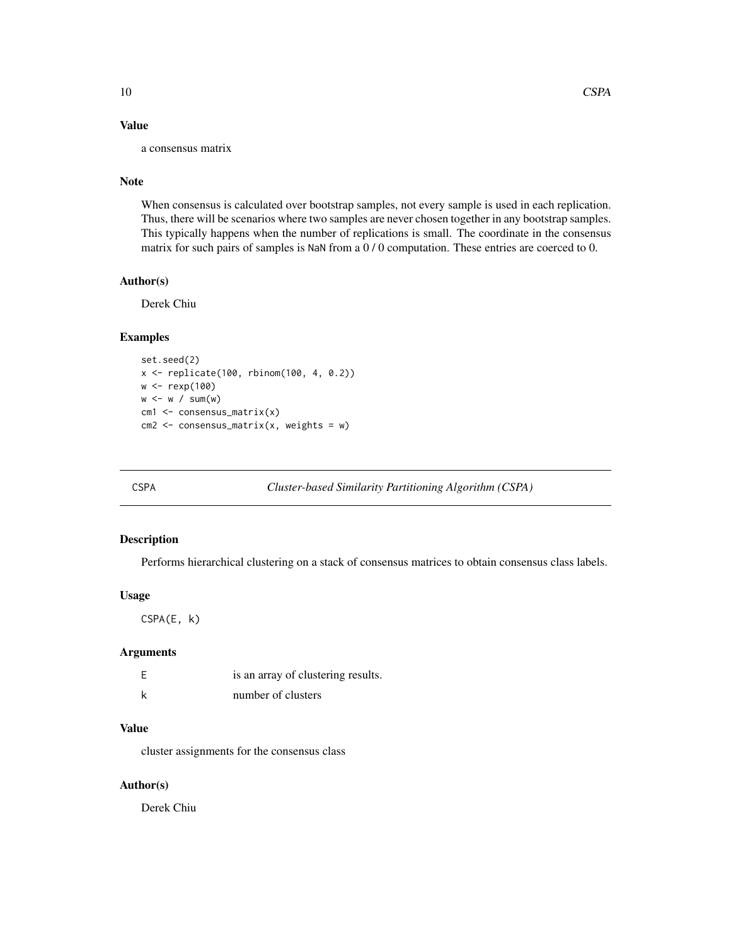# <span id="page-9-0"></span>Value

a consensus matrix

#### Note

When consensus is calculated over bootstrap samples, not every sample is used in each replication. Thus, there will be scenarios where two samples are never chosen together in any bootstrap samples. This typically happens when the number of replications is small. The coordinate in the consensus matrix for such pairs of samples is NaN from a 0 / 0 computation. These entries are coerced to 0.

#### Author(s)

Derek Chiu

# Examples

```
set.seed(2)
x <- replicate(100, rbinom(100, 4, 0.2))
w <- rexp(100)
w < -w / sum(w)cm1 <- consensus_matrix(x)
cm2 <- consensus_matrix(x, weights = w)
```
<span id="page-9-1"></span>CSPA *Cluster-based Similarity Partitioning Algorithm (CSPA)*

# Description

Performs hierarchical clustering on a stack of consensus matrices to obtain consensus class labels.

#### Usage

CSPA(E, k)

# Arguments

| is an array of clustering results. |
|------------------------------------|
| number of clusters                 |

#### Value

cluster assignments for the consensus class

# Author(s)

Derek Chiu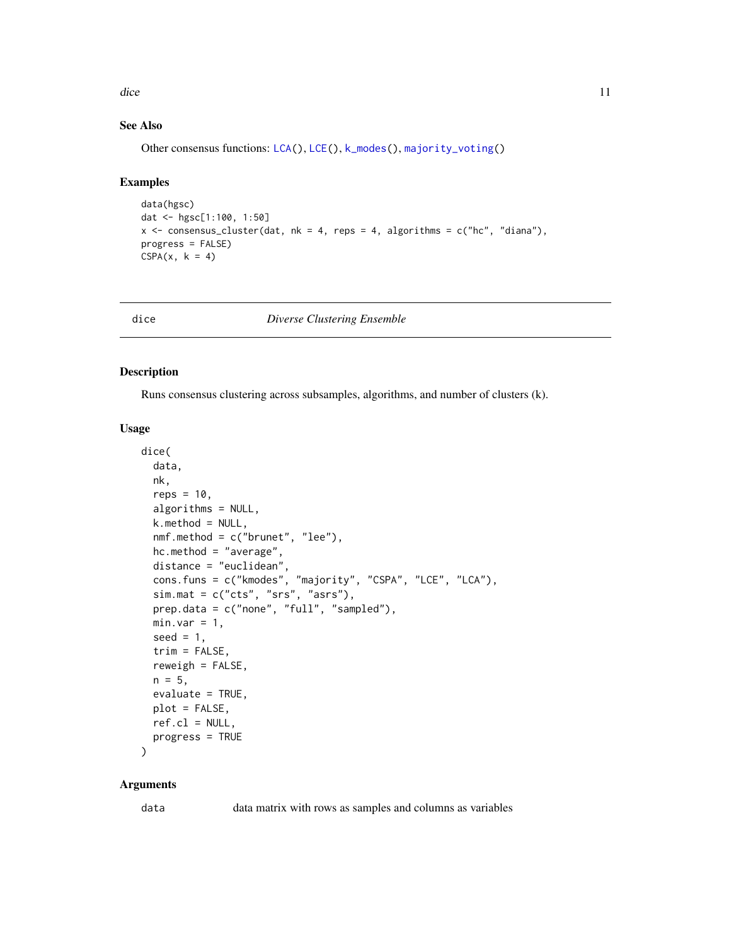<span id="page-10-0"></span>dice the contract of the contract of the contract of the contract of the contract of the contract of the contract of the contract of the contract of the contract of the contract of the contract of the contract of the contr

# See Also

Other consensus functions: [LCA\(](#page-19-1)), [LCE\(](#page-20-1)), [k\\_modes\(](#page-18-1)), [majority\\_voting\(](#page-21-1))

#### Examples

```
data(hgsc)
dat <- hgsc[1:100, 1:50]
x <- consensus_cluster(dat, nk = 4, reps = 4, algorithms = c("hc", "diana"),
progress = FALSE)
CSPA(x, k = 4)
```
dice *Diverse Clustering Ensemble*

#### Description

Runs consensus clustering across subsamples, algorithms, and number of clusters (k).

#### Usage

```
dice(
  data,
  nk,
  reps = 10,
  algorithms = NULL,
  k.method = NULL,
  nmf.method = c("brunet", "lee"),
  hc.method = "average",
  distance = "euclidean",
  cons.funs = c("kmodes", "majority", "CSPA", "LCE", "LCA"),
  sim.mat = c("cts", "srs", "asrs"),prep.data = c("none", "full", "sampled"),
 minvar = 1,
  seed = 1,
  trim = FALSE,
  reweight = FALSE,n = 5,
  evaluate = TRUE,
 plot = FALSE,
  ref.cl = NULL,progress = TRUE
```
# )

# Arguments

data data matrix with rows as samples and columns as variables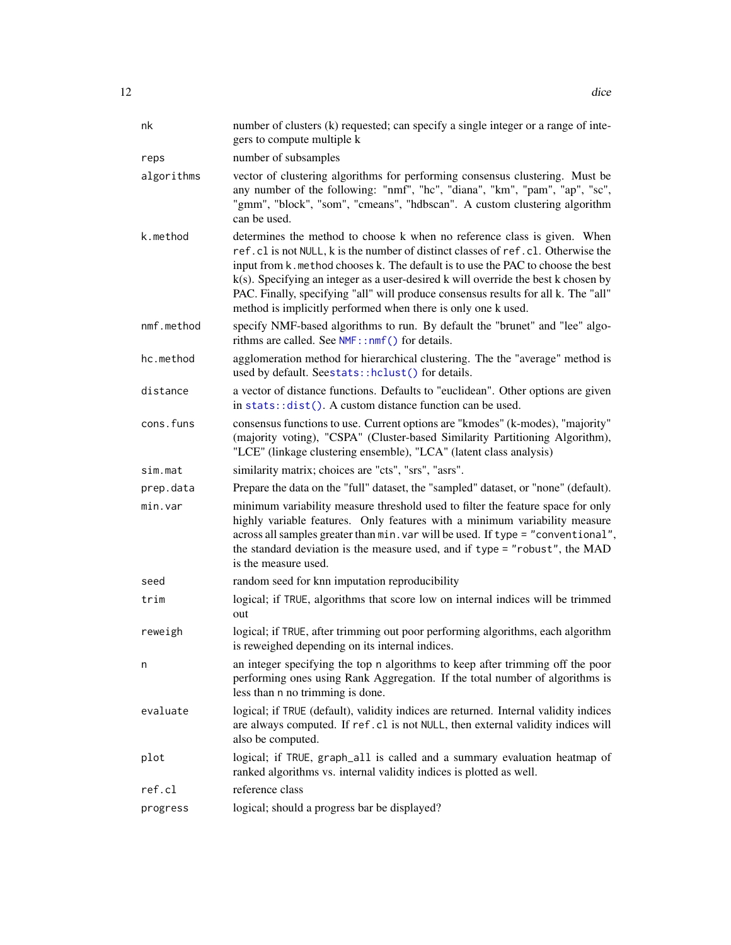<span id="page-11-0"></span>

| nk         | number of clusters (k) requested; can specify a single integer or a range of inte-<br>gers to compute multiple k                                                                                                                                                                                                                                                                                                                                                                                 |
|------------|--------------------------------------------------------------------------------------------------------------------------------------------------------------------------------------------------------------------------------------------------------------------------------------------------------------------------------------------------------------------------------------------------------------------------------------------------------------------------------------------------|
| reps       | number of subsamples                                                                                                                                                                                                                                                                                                                                                                                                                                                                             |
| algorithms | vector of clustering algorithms for performing consensus clustering. Must be<br>any number of the following: "nmf", "hc", "diana", "km", "pam", "ap", "sc",<br>"gmm", "block", "som", "cmeans", "hdbscan". A custom clustering algorithm<br>can be used.                                                                                                                                                                                                                                         |
| k.method   | determines the method to choose k when no reference class is given. When<br>ref.cl is not NULL, k is the number of distinct classes of ref.cl. Otherwise the<br>input from k. method chooses k. The default is to use the PAC to choose the best<br>$k(s)$ . Specifying an integer as a user-desired k will override the best k chosen by<br>PAC. Finally, specifying "all" will produce consensus results for all k. The "all"<br>method is implicitly performed when there is only one k used. |
| nmf.method | specify NMF-based algorithms to run. By default the "brunet" and "lee" algo-<br>rithms are called. See NMF::nmf() for details.                                                                                                                                                                                                                                                                                                                                                                   |
| hc.method  | agglomeration method for hierarchical clustering. The the "average" method is<br>used by default. Seestats::hclust() for details.                                                                                                                                                                                                                                                                                                                                                                |
| distance   | a vector of distance functions. Defaults to "euclidean". Other options are given<br>in $stats:dist()$ . A custom distance function can be used.                                                                                                                                                                                                                                                                                                                                                  |
| cons.funs  | consensus functions to use. Current options are "kmodes" (k-modes), "majority"<br>(majority voting), "CSPA" (Cluster-based Similarity Partitioning Algorithm),<br>"LCE" (linkage clustering ensemble), "LCA" (latent class analysis)                                                                                                                                                                                                                                                             |
| sim.mat    | similarity matrix; choices are "cts", "srs", "asrs".                                                                                                                                                                                                                                                                                                                                                                                                                                             |
| prep.data  | Prepare the data on the "full" dataset, the "sampled" dataset, or "none" (default).                                                                                                                                                                                                                                                                                                                                                                                                              |
| min.var    | minimum variability measure threshold used to filter the feature space for only<br>highly variable features. Only features with a minimum variability measure<br>across all samples greater than min. var will be used. If type = "conventional",<br>the standard deviation is the measure used, and if type = "robust", the MAD<br>is the measure used.                                                                                                                                         |
| seed       | random seed for knn imputation reproducibility                                                                                                                                                                                                                                                                                                                                                                                                                                                   |
| trim       | logical; if TRUE, algorithms that score low on internal indices will be trimmed<br>out                                                                                                                                                                                                                                                                                                                                                                                                           |
| reweigh    | logical; if TRUE, after trimming out poor performing algorithms, each algorithm<br>is reweighed depending on its internal indices.                                                                                                                                                                                                                                                                                                                                                               |
| n          | an integer specifying the top n algorithms to keep after trimming off the poor<br>performing ones using Rank Aggregation. If the total number of algorithms is<br>less than n no trimming is done.                                                                                                                                                                                                                                                                                               |
| evaluate   | logical; if TRUE (default), validity indices are returned. Internal validity indices<br>are always computed. If ref.cl is not NULL, then external validity indices will<br>also be computed.                                                                                                                                                                                                                                                                                                     |
| plot       | logical; if TRUE, graph_all is called and a summary evaluation heatmap of<br>ranked algorithms vs. internal validity indices is plotted as well.                                                                                                                                                                                                                                                                                                                                                 |
| ref.cl     | reference class                                                                                                                                                                                                                                                                                                                                                                                                                                                                                  |
| progress   | logical; should a progress bar be displayed?                                                                                                                                                                                                                                                                                                                                                                                                                                                     |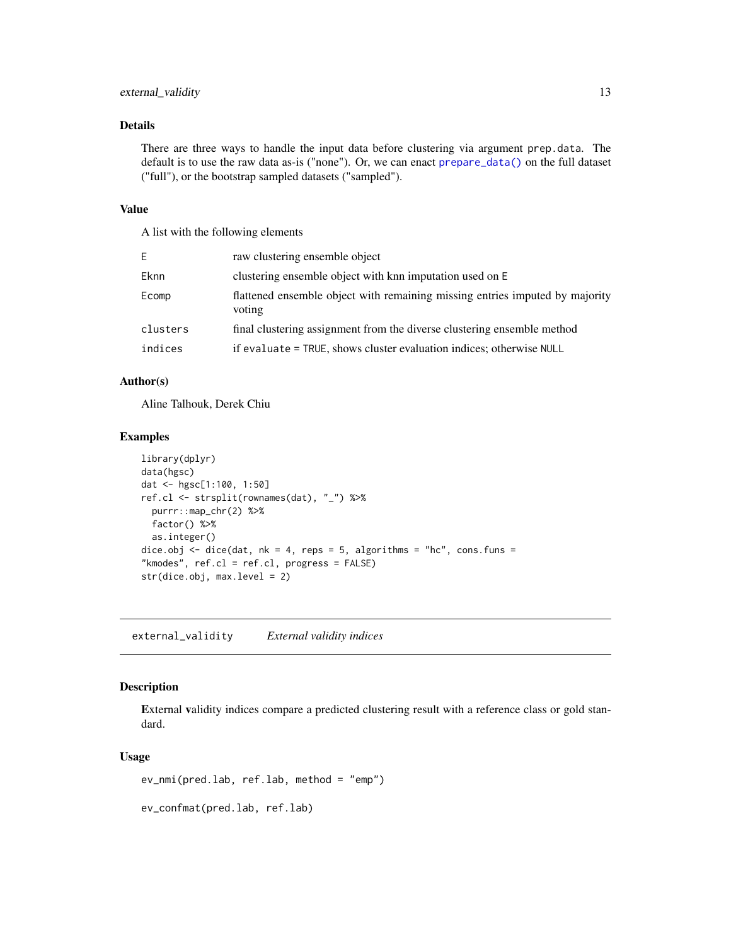# <span id="page-12-0"></span>Details

There are three ways to handle the input data before clustering via argument prep.data. The default is to use the raw data as-is ("none"). Or, we can enact [prepare\\_data\(\)](#page-25-1) on the full dataset ("full"), or the bootstrap sampled datasets ("sampled").

# Value

A list with the following elements

| E.          | raw clustering ensemble object                                                         |
|-------------|----------------------------------------------------------------------------------------|
| <b>Eknn</b> | clustering ensemble object with knn imputation used on E                               |
| Ecomp       | flattened ensemble object with remaining missing entries imputed by majority<br>voting |
| clusters    | final clustering assignment from the diverse clustering ensemble method                |
| indices     | if evaluate = TRUE, shows cluster evaluation indices; otherwise NULL                   |
|             |                                                                                        |

# Author(s)

Aline Talhouk, Derek Chiu

#### Examples

```
library(dplyr)
data(hgsc)
dat <- hgsc[1:100, 1:50]
ref.cl <- strsplit(rownames(dat), "_") %>%
  purrr::map_chr(2) %>%
  factor() %>%
  as.integer()
dice.obj \le dice(dat, nk = 4, reps = 5, algorithms = "hc", cons.funs =
"kmodes", ref.cl = ref.cl, progress = FALSE)
str(dice.obj, max.level = 2)
```
external\_validity *External validity indices*

#### Description

External validity indices compare a predicted clustering result with a reference class or gold standard.

#### Usage

ev\_nmi(pred.lab, ref.lab, method = "emp")

ev\_confmat(pred.lab, ref.lab)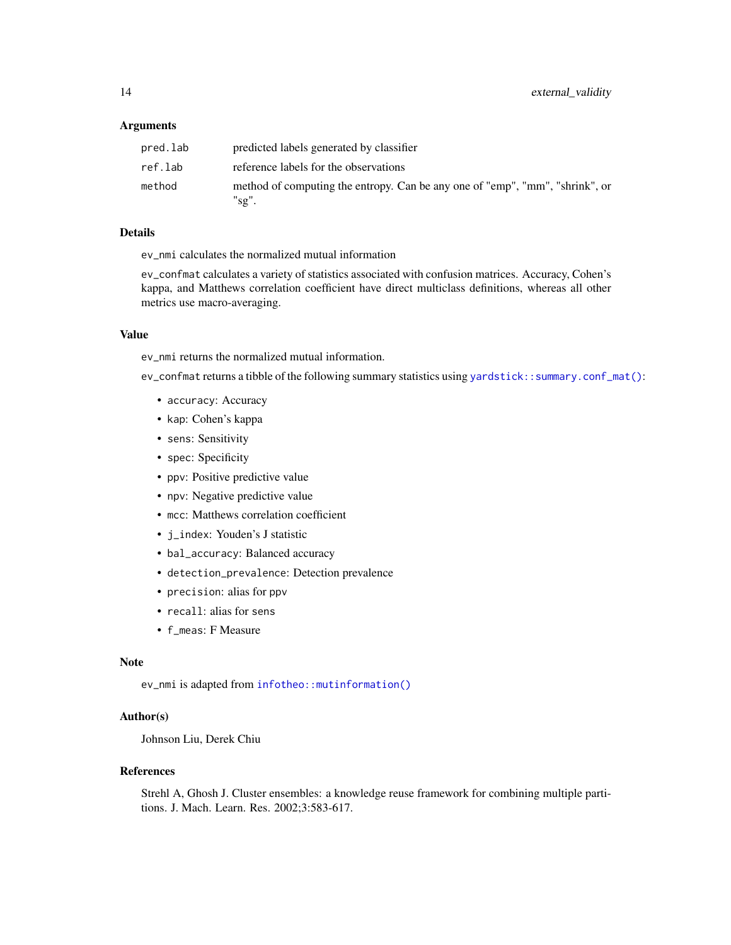#### <span id="page-13-0"></span>Arguments

| pred.lab | predicted labels generated by classifier                                              |
|----------|---------------------------------------------------------------------------------------|
| ref.lab  | reference labels for the observations                                                 |
| method   | method of computing the entropy. Can be any one of "emp", "mm", "shrink", or<br>"sg". |

#### Details

ev\_nmi calculates the normalized mutual information

ev\_confmat calculates a variety of statistics associated with confusion matrices. Accuracy, Cohen's kappa, and Matthews correlation coefficient have direct multiclass definitions, whereas all other metrics use macro-averaging.

# Value

ev\_nmi returns the normalized mutual information.

ev\_confmat returns a tibble of the following summary statistics using [yardstick::summary.conf\\_mat\(\)](#page-0-0):

- accuracy: Accuracy
- kap: Cohen's kappa
- sens: Sensitivity
- spec: Specificity
- ppv: Positive predictive value
- npv: Negative predictive value
- mcc: Matthews correlation coefficient
- j\_index: Youden's J statistic
- bal\_accuracy: Balanced accuracy
- detection\_prevalence: Detection prevalence
- precision: alias for ppv
- recall: alias for sens
- f\_meas: F Measure

# Note

ev\_nmi is adapted from [infotheo::mutinformation\(\)](#page-0-0)

# Author(s)

Johnson Liu, Derek Chiu

#### References

Strehl A, Ghosh J. Cluster ensembles: a knowledge reuse framework for combining multiple partitions. J. Mach. Learn. Res. 2002;3:583-617.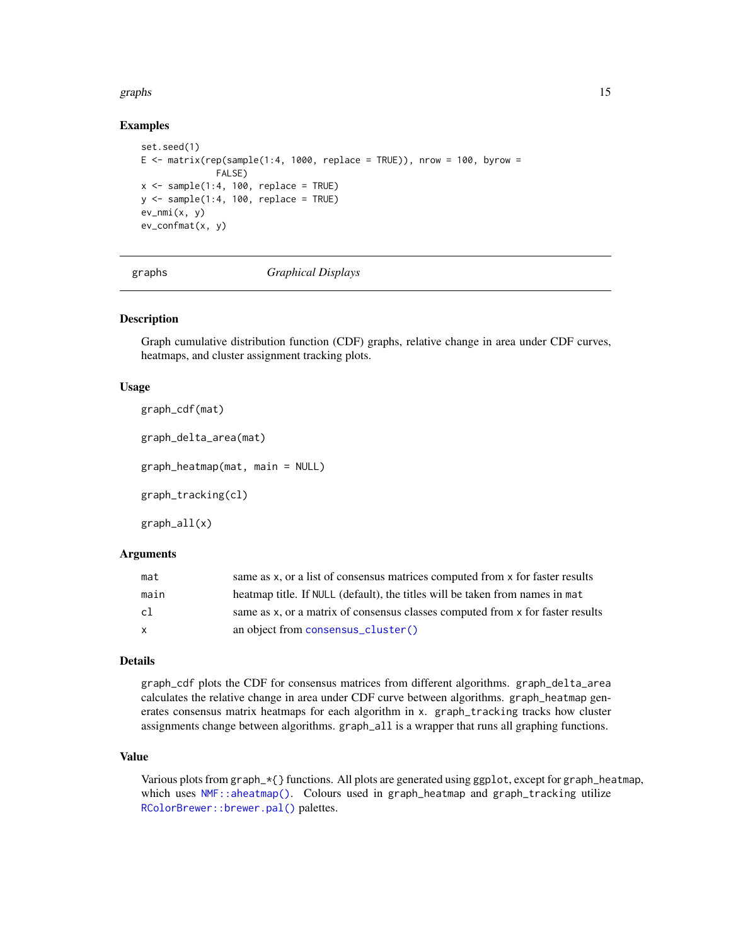#### <span id="page-14-0"></span>graphs to the contract of the contract of the contract of the contract of the contract of the contract of the contract of the contract of the contract of the contract of the contract of the contract of the contract of the

#### Examples

```
set.seed(1)
E \le matrix(rep(sample(1:4, 1000, replace = TRUE)), nrow = 100, byrow =
              FALSE)
x \le - sample(1:4, 100, replace = TRUE)
y \le - sample(1:4, 100, replace = TRUE)
ev_nmi(x, y)
ev_confmat(x, y)
```
graphs *Graphical Displays*

### Description

Graph cumulative distribution function (CDF) graphs, relative change in area under CDF curves, heatmaps, and cluster assignment tracking plots.

#### Usage

```
graph_cdf(mat)
graph_delta_area(mat)
graph_heatmap(mat, main = NULL)
graph_tracking(cl)
graph_all(x)
```
# Arguments

| mat  | same as x, or a list of consensus matrices computed from x for faster results  |
|------|--------------------------------------------------------------------------------|
| main | heatmap title. If NULL (default), the titles will be taken from names in mat   |
| cl   | same as x, or a matrix of consensus classes computed from x for faster results |
| X    | an object from consensus_cluster()                                             |

#### Details

graph\_cdf plots the CDF for consensus matrices from different algorithms. graph\_delta\_area calculates the relative change in area under CDF curve between algorithms. graph\_heatmap generates consensus matrix heatmaps for each algorithm in x. graph\_tracking tracks how cluster assignments change between algorithms. graph\_all is a wrapper that runs all graphing functions.

# Value

Various plots from graph\_\*{} functions. All plots are generated using ggplot, except for graph\_heatmap, which uses [NMF::aheatmap\(\)](#page-0-0). Colours used in graph\_heatmap and graph\_tracking utilize [RColorBrewer::brewer.pal\(\)](#page-0-0) palettes.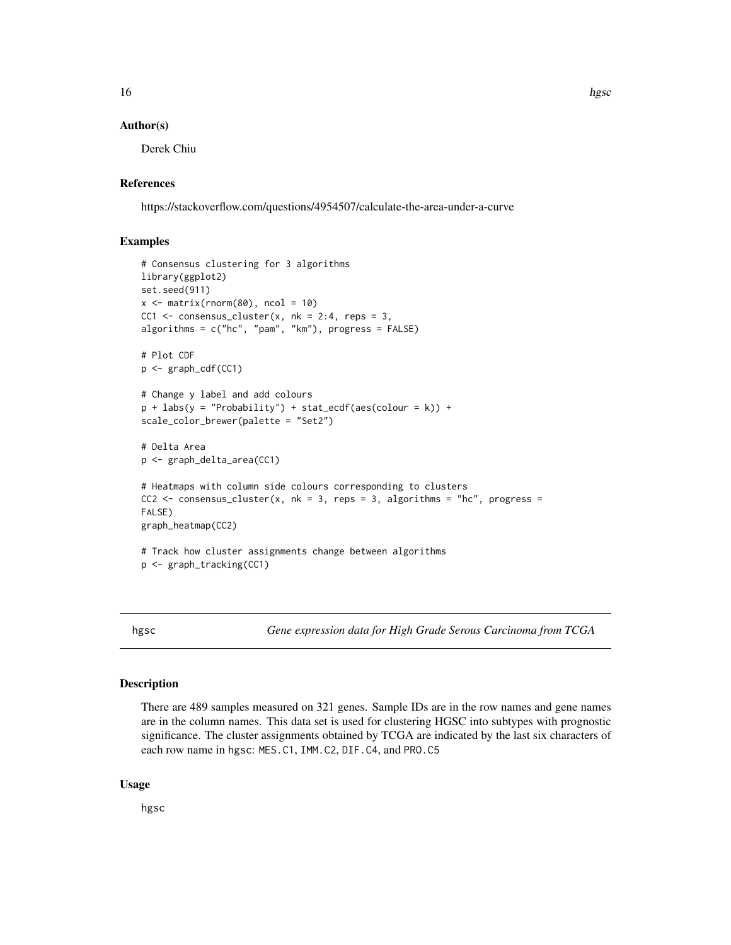#### <span id="page-15-0"></span>Author(s)

Derek Chiu

# References

https://stackoverflow.com/questions/4954507/calculate-the-area-under-a-curve

# Examples

```
# Consensus clustering for 3 algorithms
library(ggplot2)
set.seed(911)
x \le matrix(rnorm(80), ncol = 10)
CC1 \le consensus_cluster(x, nk = 2:4, reps = 3,
algorithms = c("hc", "pam", "km"), progress = FALSE)
# Plot CDF
p <- graph_cdf(CC1)
# Change y label and add colours
p + \text{ labs}(y = \text{"Probability"}) + \text{stat\_ecdf(aes(colour = k)) + }scale_color_brewer(palette = "Set2")
# Delta Area
p <- graph_delta_area(CC1)
# Heatmaps with column side colours corresponding to clusters
CC2 \le consensus_cluster(x, nk = 3, reps = 3, algorithms = "hc", progress =
FALSE)
graph_heatmap(CC2)
# Track how cluster assignments change between algorithms
p <- graph_tracking(CC1)
```
hgsc *Gene expression data for High Grade Serous Carcinoma from TCGA*

#### Description

There are 489 samples measured on 321 genes. Sample IDs are in the row names and gene names are in the column names. This data set is used for clustering HGSC into subtypes with prognostic significance. The cluster assignments obtained by TCGA are indicated by the last six characters of each row name in hgsc: MES.C1, IMM.C2, DIF.C4, and PRO.C5

#### Usage

hgsc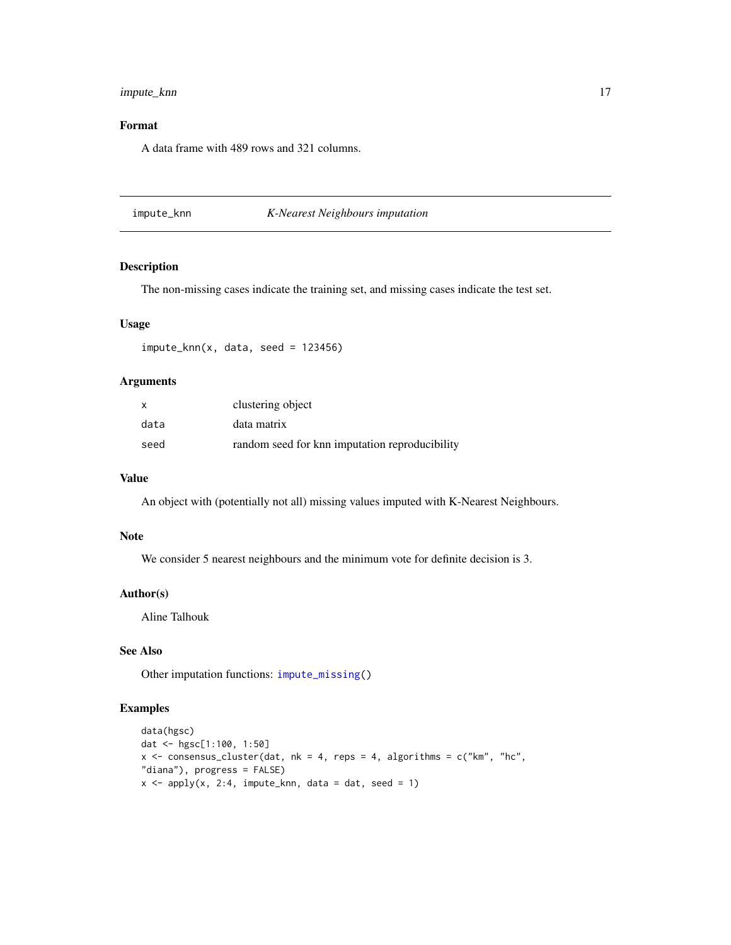# <span id="page-16-0"></span>impute\_knn 17

# Format

A data frame with 489 rows and 321 columns.

<span id="page-16-1"></span>impute\_knn *K-Nearest Neighbours imputation*

# Description

The non-missing cases indicate the training set, and missing cases indicate the test set.

#### Usage

 $impute_knn(x, data, seed = 123456)$ 

# Arguments

| $\mathsf{x}$ | clustering object                              |
|--------------|------------------------------------------------|
| data         | data matrix                                    |
| seed         | random seed for knn imputation reproducibility |

#### Value

An object with (potentially not all) missing values imputed with K-Nearest Neighbours.

#### **Note**

We consider 5 nearest neighbours and the minimum vote for definite decision is 3.

# Author(s)

Aline Talhouk

# See Also

Other imputation functions: [impute\\_missing\(](#page-17-1))

# Examples

```
data(hgsc)
dat <- hgsc[1:100, 1:50]
x <- consensus_cluster(dat, nk = 4, reps = 4, algorithms = c("km", "hc",
"diana"), progress = FALSE)
x \le apply(x, 2:4, impute_knn, data = dat, seed = 1)
```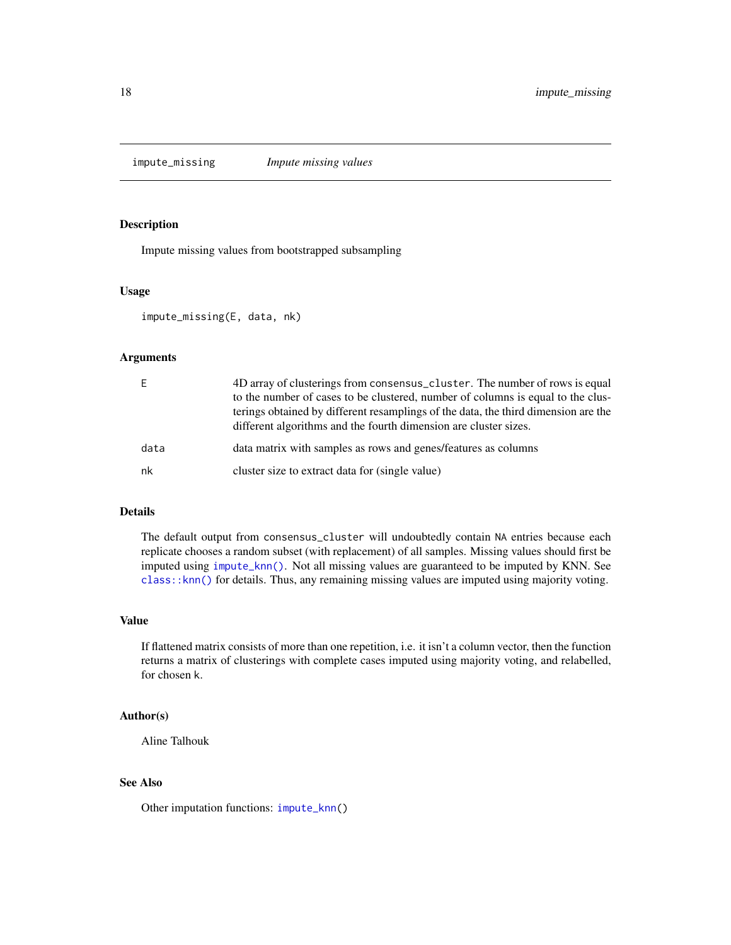<span id="page-17-1"></span><span id="page-17-0"></span>impute\_missing *Impute missing values*

### Description

Impute missing values from bootstrapped subsampling

# Usage

impute\_missing(E, data, nk)

#### Arguments

|      | 4D array of clusterings from consensus_cluster. The number of rows is equal<br>to the number of cases to be clustered, number of columns is equal to the clus-<br>terings obtained by different resamplings of the data, the third dimension are the<br>different algorithms and the fourth dimension are cluster sizes. |
|------|--------------------------------------------------------------------------------------------------------------------------------------------------------------------------------------------------------------------------------------------------------------------------------------------------------------------------|
| data | data matrix with samples as rows and genes/features as columns                                                                                                                                                                                                                                                           |
| nk   | cluster size to extract data for (single value)                                                                                                                                                                                                                                                                          |

# Details

The default output from consensus\_cluster will undoubtedly contain NA entries because each replicate chooses a random subset (with replacement) of all samples. Missing values should first be imputed using [impute\\_knn\(\)](#page-16-1). Not all missing values are guaranteed to be imputed by KNN. See [class::knn\(\)](#page-0-0) for details. Thus, any remaining missing values are imputed using majority voting.

#### Value

If flattened matrix consists of more than one repetition, i.e. it isn't a column vector, then the function returns a matrix of clusterings with complete cases imputed using majority voting, and relabelled, for chosen k.

# Author(s)

Aline Talhouk

# See Also

Other imputation functions: [impute\\_knn\(](#page-16-1))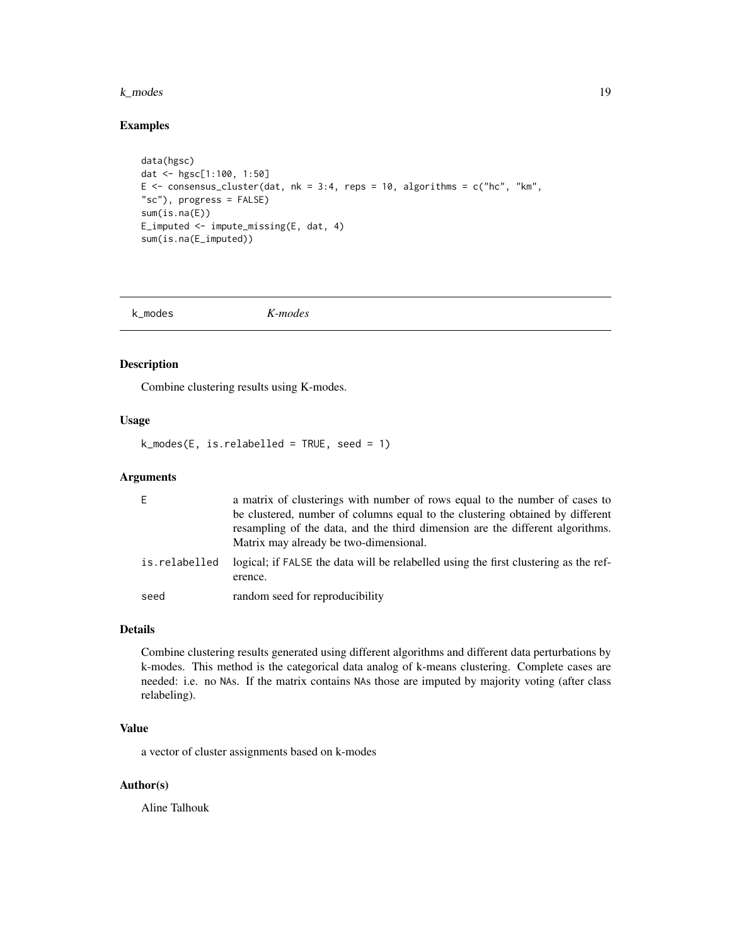#### <span id="page-18-0"></span>k\_modes 19

# Examples

```
data(hgsc)
dat <- hgsc[1:100, 1:50]
E <- consensus_cluster(dat, nk = 3:4, reps = 10, algorithms = c("hc", "km",
"sc"), progress = FALSE)
sum(is.na(E))
E_imputed <- impute_missing(E, dat, 4)
sum(is.na(E_imputed))
```
<span id="page-18-1"></span>k\_modes *K-modes*

# Description

Combine clustering results using K-modes.

# Usage

 $k_modes(E, is.relabeled = TRUE, seed = 1)$ 

#### Arguments

| F.            | a matrix of clusterings with number of rows equal to the number of cases to<br>be clustered, number of columns equal to the clustering obtained by different<br>resampling of the data, and the third dimension are the different algorithms.<br>Matrix may already be two-dimensional. |
|---------------|-----------------------------------------------------------------------------------------------------------------------------------------------------------------------------------------------------------------------------------------------------------------------------------------|
| is.relabelled | logical; if FALSE the data will be relabelled using the first clustering as the ref-<br>erence.                                                                                                                                                                                         |
| seed          | random seed for reproducibility                                                                                                                                                                                                                                                         |

# Details

Combine clustering results generated using different algorithms and different data perturbations by k-modes. This method is the categorical data analog of k-means clustering. Complete cases are needed: i.e. no NAs. If the matrix contains NAs those are imputed by majority voting (after class relabeling).

# Value

a vector of cluster assignments based on k-modes

# Author(s)

Aline Talhouk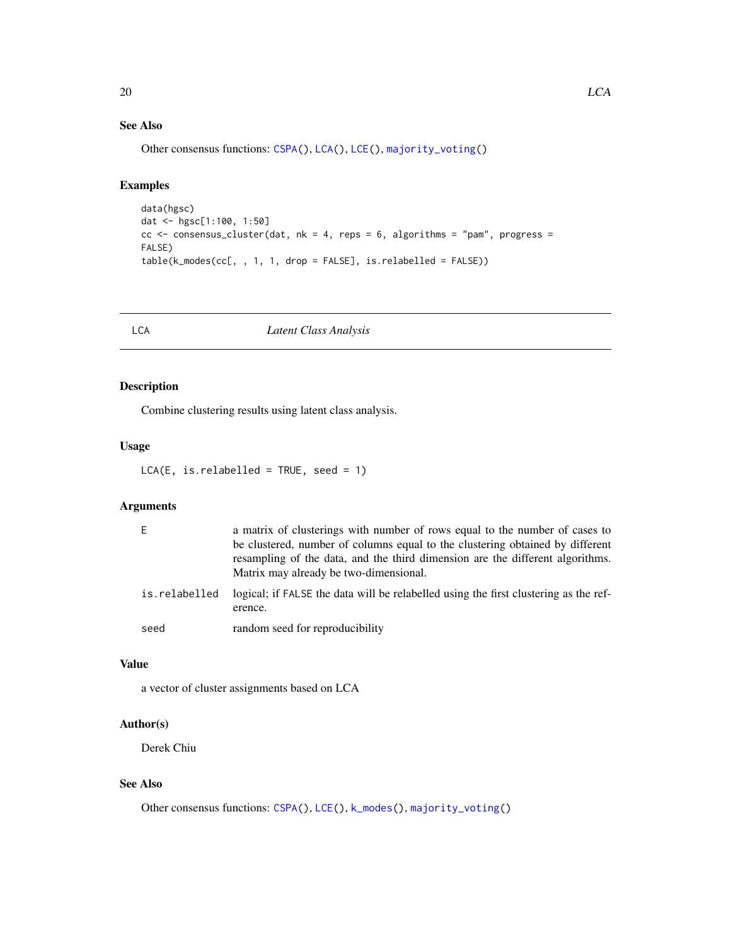# See Also

Other consensus functions: [CSPA\(](#page-9-1)), [LCA\(](#page-19-1)), [LCE\(](#page-20-1)), [majority\\_voting\(](#page-21-1))

# Examples

```
data(hgsc)
dat <- hgsc[1:100, 1:50]
cc < - consensus_cluster(dat, nk = 4, reps = 6, algorithms = "pam", progress =
FALSE)
table(k_modes(cc[, , 1, 1, drop = FALSE], is.relabelled = FALSE))
```
<span id="page-19-1"></span>

#### LCA *Latent Class Analysis*

# Description

Combine clustering results using latent class analysis.

# Usage

```
LCA(E, is.relabelled = TRUE, seed = 1)
```
# Arguments

| Ε             | a matrix of clusterings with number of rows equal to the number of cases to<br>be clustered, number of columns equal to the clustering obtained by different<br>resampling of the data, and the third dimension are the different algorithms.<br>Matrix may already be two-dimensional. |
|---------------|-----------------------------------------------------------------------------------------------------------------------------------------------------------------------------------------------------------------------------------------------------------------------------------------|
| is.relabelled | logical; if FALSE the data will be relabelled using the first clustering as the ref-<br>erence.                                                                                                                                                                                         |
| seed          | random seed for reproducibility                                                                                                                                                                                                                                                         |

# Value

a vector of cluster assignments based on LCA

# Author(s)

Derek Chiu

# See Also

Other consensus functions: [CSPA\(](#page-9-1)), [LCE\(](#page-20-1)), [k\\_modes\(](#page-18-1)), [majority\\_voting\(](#page-21-1))

<span id="page-19-0"></span>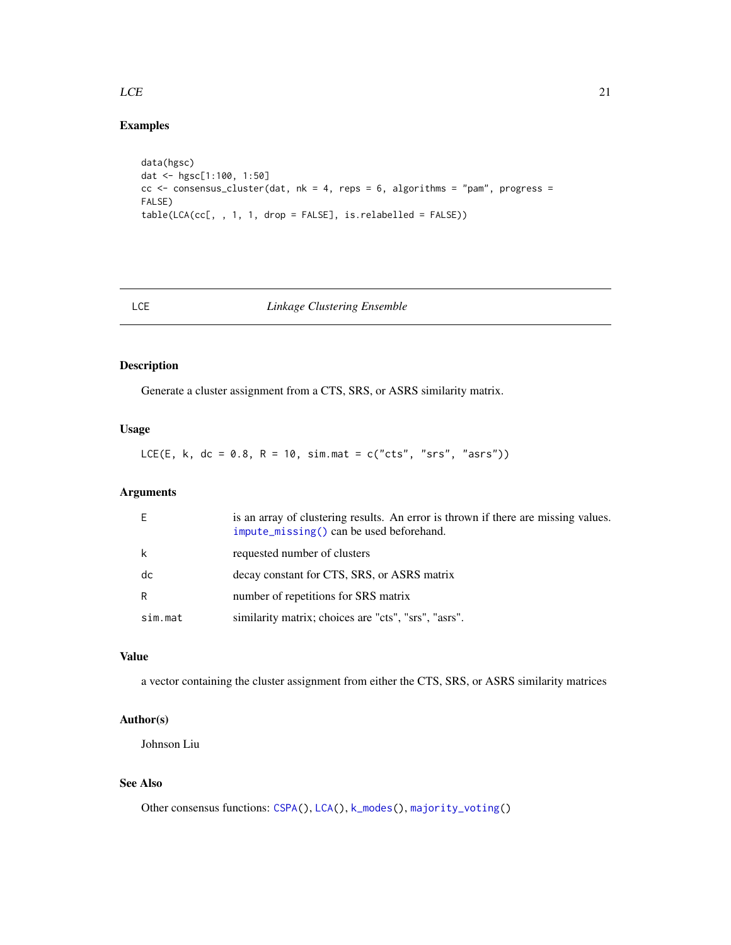### <span id="page-20-0"></span> $LCE$  21

# Examples

```
data(hgsc)
dat <- hgsc[1:100, 1:50]
cc < - consensus_cluster(dat, nk = 4, reps = 6, algorithms = "pam", progress =
FALSE)
table(LCA(cc[, , 1, 1, drop = FALSE], is.relabelled = FALSE))
```
# <span id="page-20-1"></span>LCE *Linkage Clustering Ensemble*

# Description

Generate a cluster assignment from a CTS, SRS, or ASRS similarity matrix.

# Usage

LCE(E, k, dc = 0.8, R = 10, sim.mat =  $c("cts", "srs", "ass")$ )

# Arguments

| F       | is an array of clustering results. An error is thrown if there are missing values.<br>$impute_missing()$ can be used beforehand. |
|---------|----------------------------------------------------------------------------------------------------------------------------------|
| k       | requested number of clusters                                                                                                     |
| dc      | decay constant for CTS, SRS, or ASRS matrix                                                                                      |
| R       | number of repetitions for SRS matrix                                                                                             |
| sim.mat | similarity matrix; choices are "cts", "srs", "asrs".                                                                             |

# Value

a vector containing the cluster assignment from either the CTS, SRS, or ASRS similarity matrices

# Author(s)

Johnson Liu

# See Also

Other consensus functions: [CSPA\(](#page-9-1)), [LCA\(](#page-19-1)), [k\\_modes\(](#page-18-1)), [majority\\_voting\(](#page-21-1))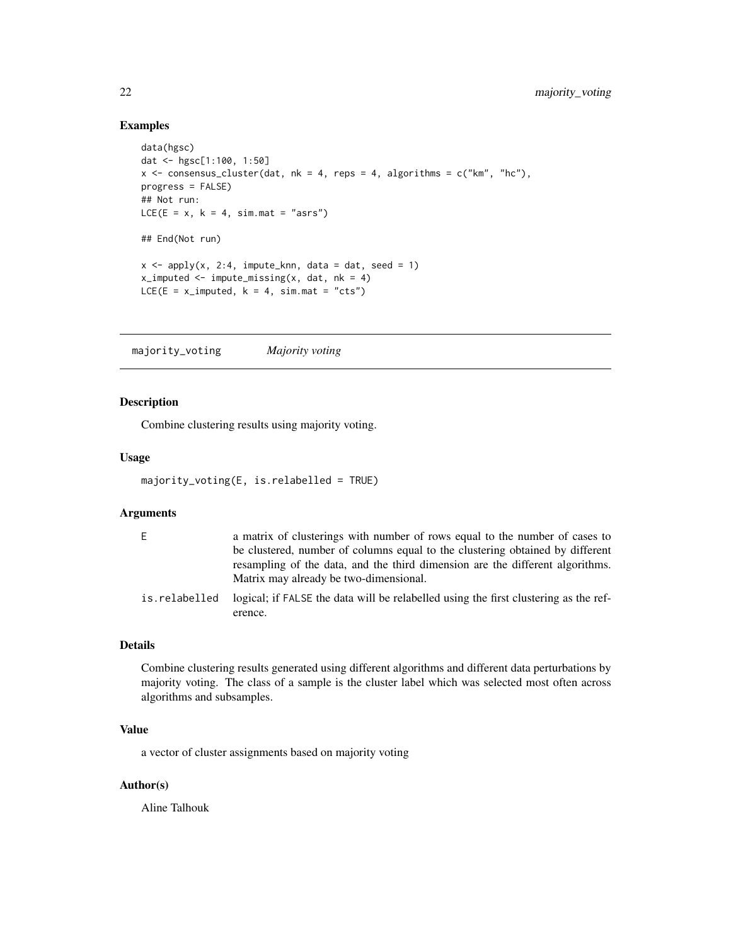```
data(hgsc)
dat <- hgsc[1:100, 1:50]
x <- consensus_cluster(dat, nk = 4, reps = 4, algorithms = c("km", "hc"),
progress = FALSE)
## Not run:
LCE(E = x, k = 4, sim.mat = "asrs")
## End(Not run)
x \le apply(x, 2:4, impute_knn, data = dat, seed = 1)
x_i imputed \le impute_missing(x, dat, nk = 4)
LCE(E = x_i) imputed, k = 4, sim.mat = "cts")
```
<span id="page-21-1"></span>majority\_voting *Majority voting*

#### Description

Combine clustering results using majority voting.

#### Usage

```
majority_voting(E, is.relabelled = TRUE)
```
#### Arguments

| E             | a matrix of clusterings with number of rows equal to the number of cases to<br>be clustered, number of columns equal to the clustering obtained by different<br>resampling of the data, and the third dimension are the different algorithms.<br>Matrix may already be two-dimensional. |
|---------------|-----------------------------------------------------------------------------------------------------------------------------------------------------------------------------------------------------------------------------------------------------------------------------------------|
| is.relabelled | logical; if FALSE the data will be relabelled using the first clustering as the ref-<br>erence.                                                                                                                                                                                         |

#### Details

Combine clustering results generated using different algorithms and different data perturbations by majority voting. The class of a sample is the cluster label which was selected most often across algorithms and subsamples.

# Value

a vector of cluster assignments based on majority voting

# Author(s)

Aline Talhouk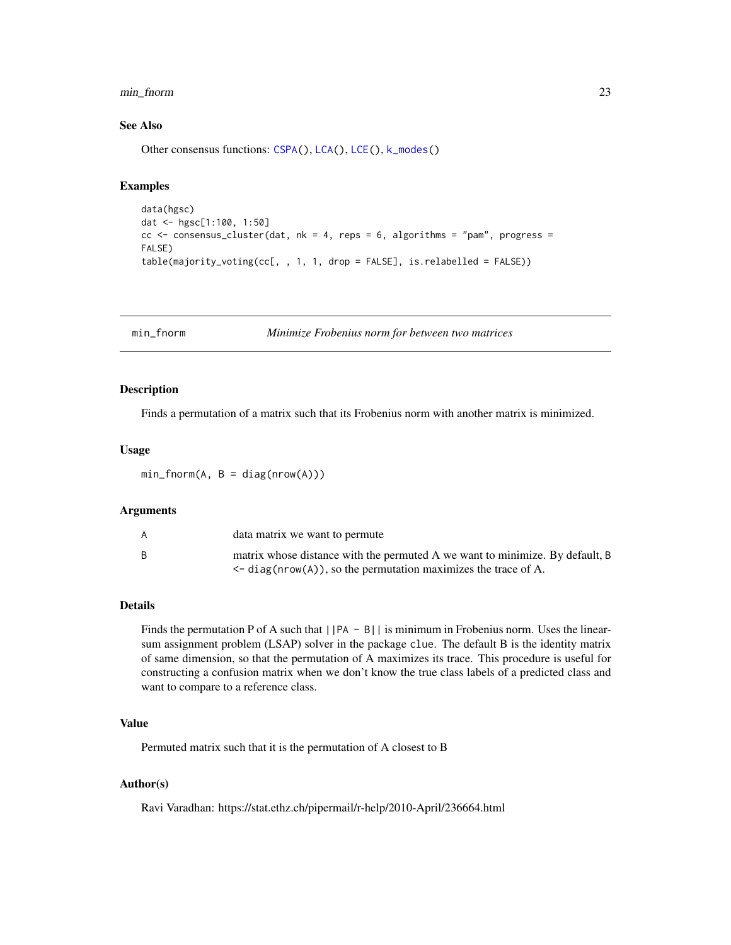#### <span id="page-22-0"></span>min\_fnorm 23

#### See Also

Other consensus functions: [CSPA\(](#page-9-1)), [LCA\(](#page-19-1)), [LCE\(](#page-20-1)), [k\\_modes\(](#page-18-1))

#### Examples

```
data(hgsc)
dat <- hgsc[1:100, 1:50]
cc < - consensus_cluster(dat, nk = 4, reps = 6, algorithms = "pam", progress =
FALSE)
table(majority_voting(cc[, , 1, 1, drop = FALSE], is.relabelled = FALSE))
```
min\_fnorm *Minimize Frobenius norm for between two matrices*

#### Description

Finds a permutation of a matrix such that its Frobenius norm with another matrix is minimized.

#### Usage

 $min_fnorm(A, B = diag(nrow(A)))$ 

# Arguments

| A | data matrix we want to permute                                                                                                                     |
|---|----------------------------------------------------------------------------------------------------------------------------------------------------|
| B | matrix whose distance with the permuted A we want to minimize. By default, B<br>$\leq$ diag(nrow(A)), so the permutation maximizes the trace of A. |

# Details

Finds the permutation P of A such that  $||PA - B||$  is minimum in Frobenius norm. Uses the linearsum assignment problem (LSAP) solver in the package clue. The default B is the identity matrix of same dimension, so that the permutation of A maximizes its trace. This procedure is useful for constructing a confusion matrix when we don't know the true class labels of a predicted class and want to compare to a reference class.

# Value

Permuted matrix such that it is the permutation of A closest to B

#### Author(s)

Ravi Varadhan: https://stat.ethz.ch/pipermail/r-help/2010-April/236664.html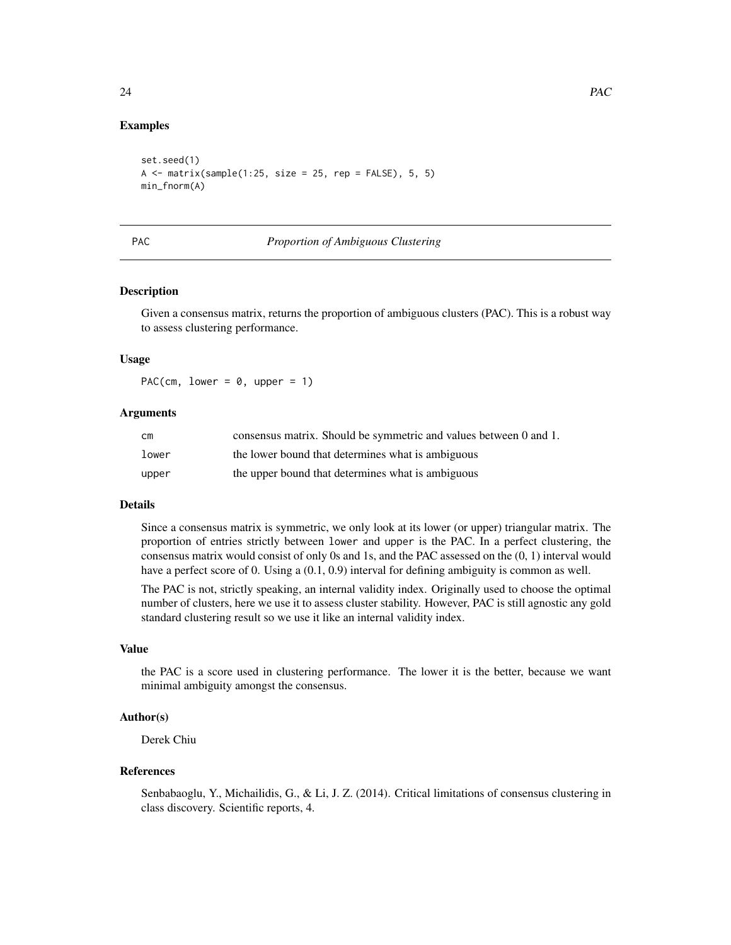```
set.seed(1)
A \leq matrix(sample(1:25, size = 25, rep = FALSE), 5, 5)
min fnorm(A)
```
#### PAC *Proportion of Ambiguous Clustering*

#### Description

Given a consensus matrix, returns the proportion of ambiguous clusters (PAC). This is a robust way to assess clustering performance.

#### Usage

PAC(cm, lower =  $0$ , upper = 1)

# Arguments

| cm    | consensus matrix. Should be symmetric and values between 0 and 1. |
|-------|-------------------------------------------------------------------|
| lower | the lower bound that determines what is ambiguous                 |
| upper | the upper bound that determines what is ambiguous                 |

#### Details

Since a consensus matrix is symmetric, we only look at its lower (or upper) triangular matrix. The proportion of entries strictly between lower and upper is the PAC. In a perfect clustering, the consensus matrix would consist of only 0s and 1s, and the PAC assessed on the (0, 1) interval would have a perfect score of 0. Using a  $(0.1, 0.9)$  interval for defining ambiguity is common as well.

The PAC is not, strictly speaking, an internal validity index. Originally used to choose the optimal number of clusters, here we use it to assess cluster stability. However, PAC is still agnostic any gold standard clustering result so we use it like an internal validity index.

# Value

the PAC is a score used in clustering performance. The lower it is the better, because we want minimal ambiguity amongst the consensus.

#### Author(s)

Derek Chiu

#### References

Senbabaoglu, Y., Michailidis, G., & Li, J. Z. (2014). Critical limitations of consensus clustering in class discovery. Scientific reports, 4.

<span id="page-23-0"></span>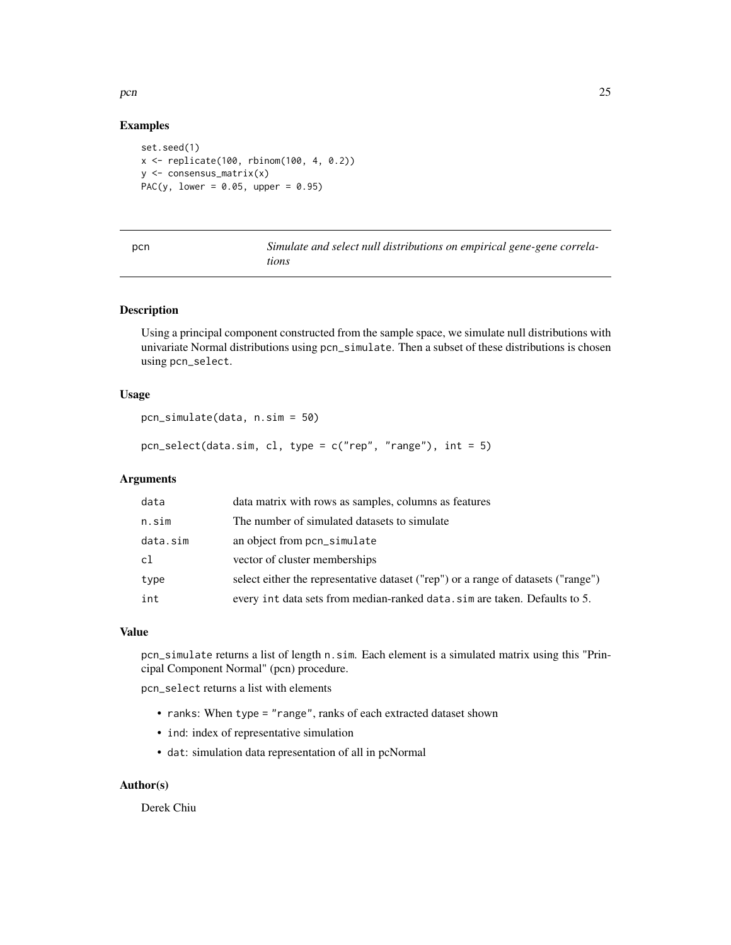```
set.seed(1)
x <- replicate(100, rbinom(100, 4, 0.2))
y <- consensus_matrix(x)
PAC(y, lower = 0.05, upper = 0.95)
```

| $\sim$ | . .<br>. .<br>٠ |  |
|--------|-----------------|--|
|        |                 |  |

Simulate and select null distributions on empirical gene-gene correla*tions*

# Description

Using a principal component constructed from the sample space, we simulate null distributions with univariate Normal distributions using pcn\_simulate. Then a subset of these distributions is chosen using pcn\_select.

# Usage

```
pcn_simulate(data, n.sim = 50)
```
pcn\_select(data.sim, cl, type = c("rep", "range"), int = 5)

# Arguments

| data     | data matrix with rows as samples, columns as features                             |
|----------|-----------------------------------------------------------------------------------|
| n.sim    | The number of simulated datasets to simulate                                      |
| data.sim | an object from pcn_simulate                                                       |
| cl       | vector of cluster memberships                                                     |
| type     | select either the representative dataset ("rep") or a range of datasets ("range") |
| int      | every int data sets from median-ranked data. sim are taken. Defaults to 5.        |

# Value

pcn\_simulate returns a list of length n.sim. Each element is a simulated matrix using this "Principal Component Normal" (pcn) procedure.

pcn\_select returns a list with elements

- ranks: When type = "range", ranks of each extracted dataset shown
- ind: index of representative simulation
- dat: simulation data representation of all in pcNormal

#### Author(s)

Derek Chiu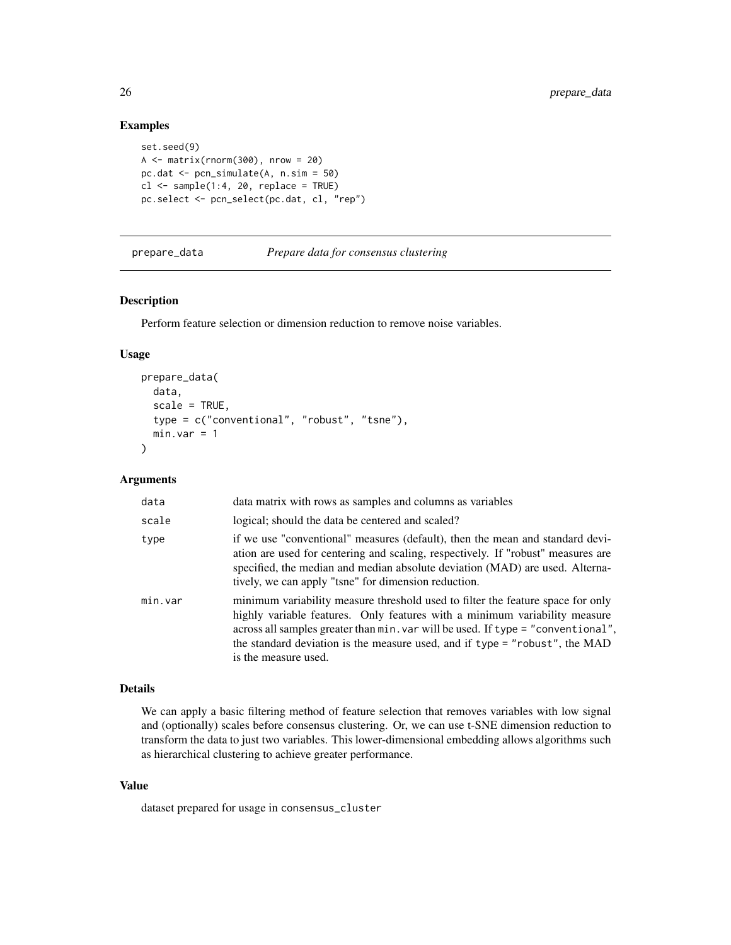```
set.seed(9)
A \leftarrow matrix(rnorm(300), nrow = 20)pc.dat <- pcn_simulate(A, n.sim = 50)
cl \leftarrow sample(1:4, 20, replace = TRUE)pc.select <- pcn_select(pc.dat, cl, "rep")
```
prepare\_data *Prepare data for consensus clustering*

# Description

Perform feature selection or dimension reduction to remove noise variables.

#### Usage

```
prepare_data(
  data,
  scale = TRUE,
  type = c("conventional", "robust", "tsne"),
 min-var = 1\lambda
```
# Arguments

| data    | data matrix with rows as samples and columns as variables                                                                                                                                                                                                                                                                                                |
|---------|----------------------------------------------------------------------------------------------------------------------------------------------------------------------------------------------------------------------------------------------------------------------------------------------------------------------------------------------------------|
| scale   | logical; should the data be centered and scaled?                                                                                                                                                                                                                                                                                                         |
| type    | if we use "conventional" measures (default), then the mean and standard devi-<br>ation are used for centering and scaling, respectively. If "robust" measures are<br>specified, the median and median absolute deviation (MAD) are used. Alterna-<br>tively, we can apply "tsne" for dimension reduction.                                                |
| min.var | minimum variability measure threshold used to filter the feature space for only<br>highly variable features. Only features with a minimum variability measure<br>across all samples greater than min. var will be used. If type = "conventional",<br>the standard deviation is the measure used, and if type = "robust", the MAD<br>is the measure used. |

# Details

We can apply a basic filtering method of feature selection that removes variables with low signal and (optionally) scales before consensus clustering. Or, we can use t-SNE dimension reduction to transform the data to just two variables. This lower-dimensional embedding allows algorithms such as hierarchical clustering to achieve greater performance.

# Value

dataset prepared for usage in consensus\_cluster

<span id="page-25-0"></span>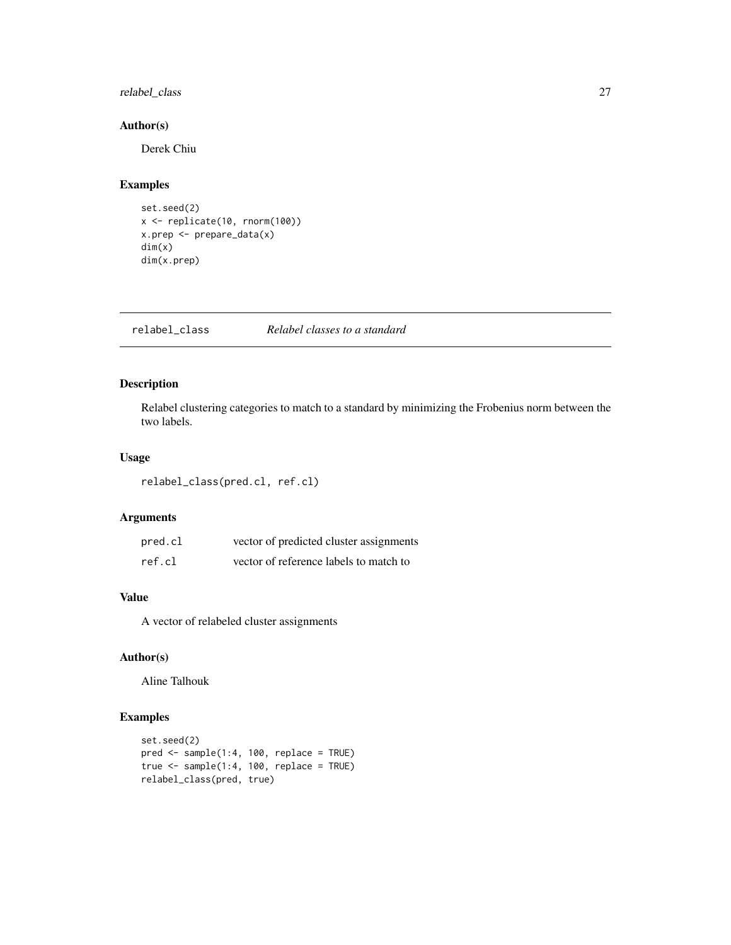# <span id="page-26-0"></span>relabel\_class 27

# Author(s)

Derek Chiu

# Examples

```
set.seed(2)
x <- replicate(10, rnorm(100))
x.prep <- prepare_data(x)
dim(x)
dim(x.prep)
```
relabel\_class *Relabel classes to a standard*

# Description

Relabel clustering categories to match to a standard by minimizing the Frobenius norm between the two labels.

# Usage

relabel\_class(pred.cl, ref.cl)

# Arguments

| pred.cl | vector of predicted cluster assignments |
|---------|-----------------------------------------|
| ref.cl  | vector of reference labels to match to  |

# Value

A vector of relabeled cluster assignments

# Author(s)

Aline Talhouk

# Examples

```
set.seed(2)
pred <- sample(1:4, 100, replace = TRUE)
true \leq sample(1:4, 100, replace = TRUE)
relabel_class(pred, true)
```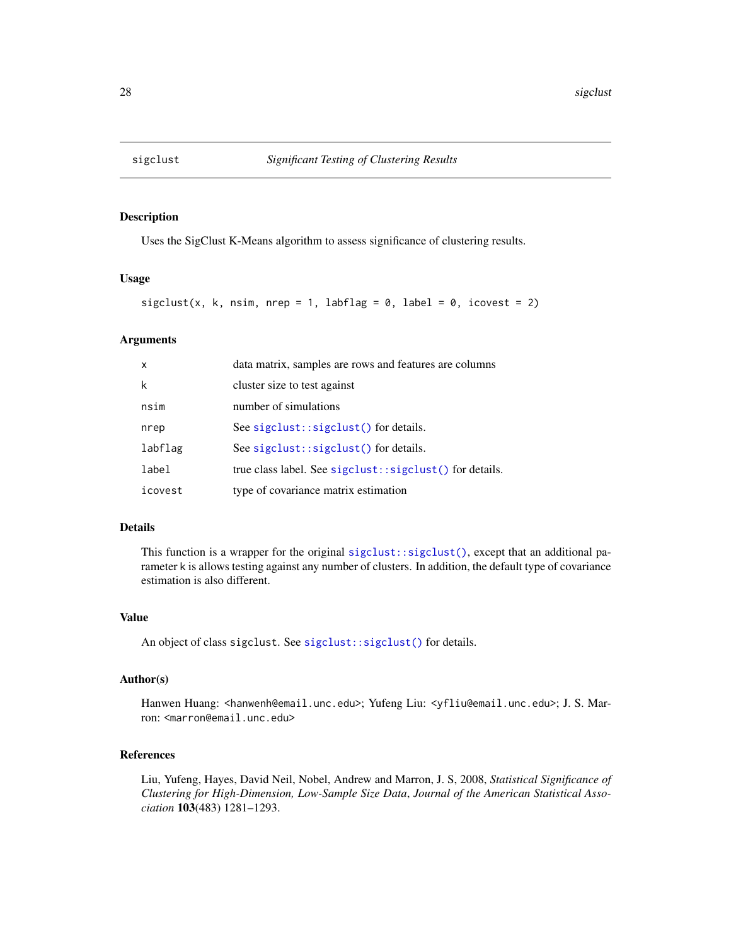<span id="page-27-0"></span>

# Description

Uses the SigClust K-Means algorithm to assess significance of clustering results.

# Usage

```
sigclust(x, k, nsim, nrep = 1, labflag = 0, label = 0, icovest = 2)
```
#### Arguments

| $\mathsf{x}$ | data matrix, samples are rows and features are columns  |
|--------------|---------------------------------------------------------|
| k            | cluster size to test against                            |
| nsim         | number of simulations                                   |
| nrep         | See sigclust::sigclust() for details.                   |
| labflag      | See sigclust::sigclust() for details.                   |
| label        | true class label. See sigclust::sigclust() for details. |
| icovest      | type of covariance matrix estimation                    |

## Details

This function is a wrapper for the original [sigclust::sigclust\(\)](#page-0-0), except that an additional parameter k is allows testing against any number of clusters. In addition, the default type of covariance estimation is also different.

# Value

An object of class sigclust. See [sigclust::sigclust\(\)](#page-0-0) for details.

#### Author(s)

Hanwen Huang: <hanwenh@email.unc.edu>; Yufeng Liu: <yfliu@email.unc.edu>; J. S. Marron: <marron@email.unc.edu>

# References

Liu, Yufeng, Hayes, David Neil, Nobel, Andrew and Marron, J. S, 2008, *Statistical Significance of Clustering for High-Dimension, Low-Sample Size Data*, *Journal of the American Statistical Association* 103(483) 1281–1293.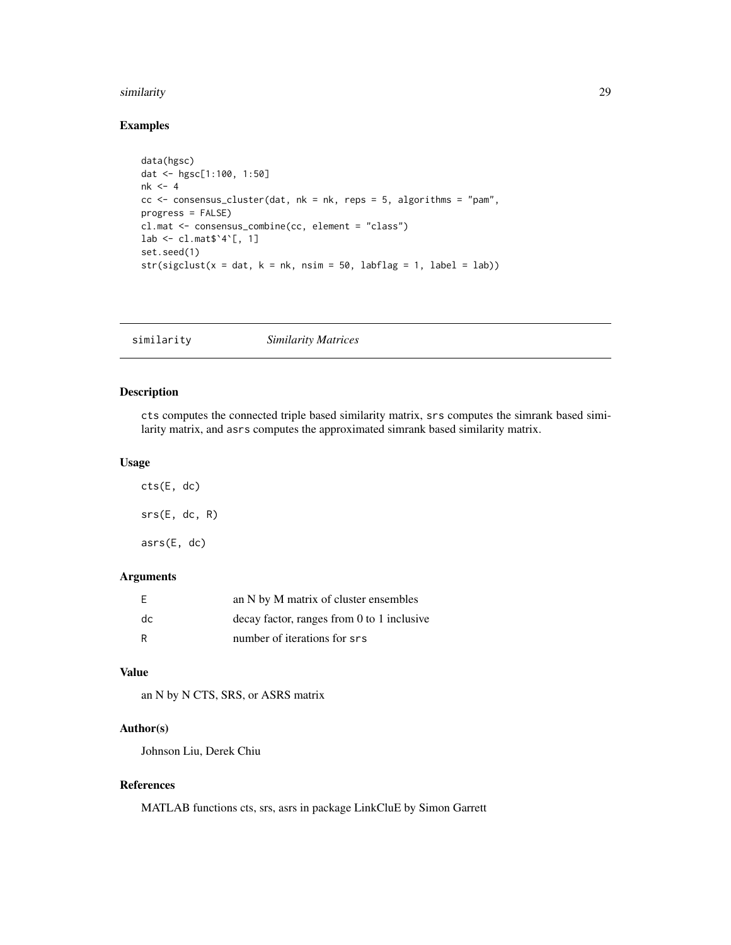#### <span id="page-28-0"></span>similarity 29

# Examples

```
data(hgsc)
dat <- hgsc[1:100, 1:50]
nk < -4cc < - consensus_cluster(dat, nk = nk, reps = 5, algorithms = "pam",
progress = FALSE)
cl.mat <- consensus_combine(cc, element = "class")
lab \leq cl.mat$`4`[, 1]
set.seed(1)
str(sigclust(x = dat, k = nk, nsim = 50, labflag = 1, label = lab))
```

|--|

# Description

cts computes the connected triple based similarity matrix, srs computes the simrank based similarity matrix, and asrs computes the approximated simrank based similarity matrix.

#### Usage

| cts(E, dc)    |  |
|---------------|--|
| srs(E, dc, R) |  |
| ars(E, dc)    |  |

# Arguments

| - F | an N by M matrix of cluster ensembles      |
|-----|--------------------------------------------|
| dc  | decay factor, ranges from 0 to 1 inclusive |
|     | number of iterations for srs               |

# Value

an N by N CTS, SRS, or ASRS matrix

# Author(s)

Johnson Liu, Derek Chiu

# References

MATLAB functions cts, srs, asrs in package LinkCluE by Simon Garrett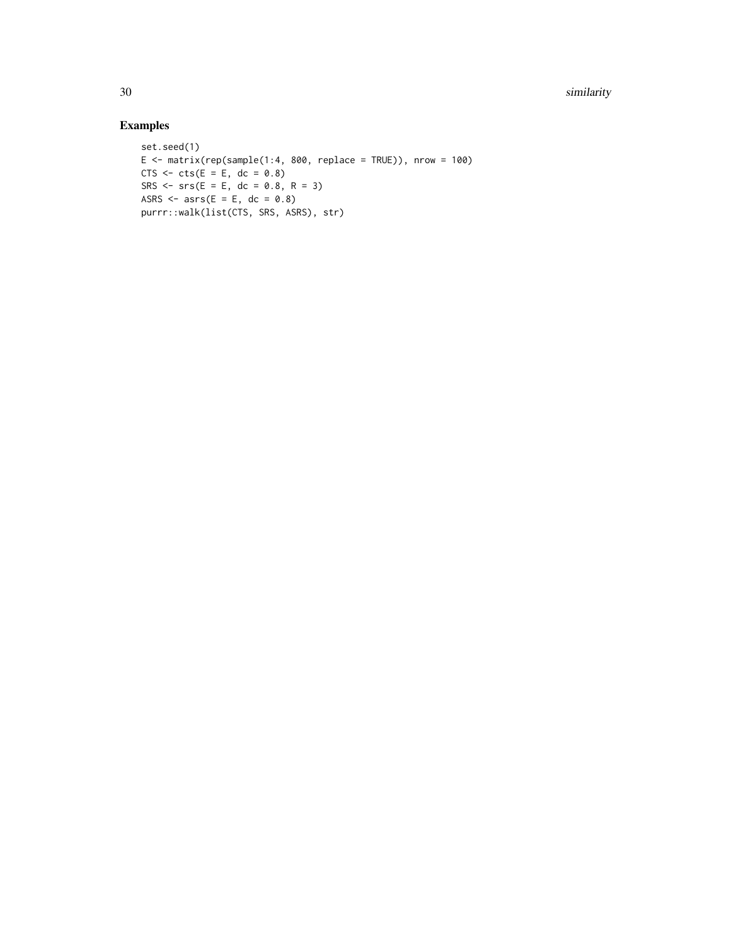30 similarity states and the state of the state of the state of the state of the state of the state of the state of the state of the state of the state of the state of the state of the state of the state of the state of th

# Examples

```
set.seed(1)
E \le - matrix(rep(sample(1:4, 800, replace = TRUE)), nrow = 100)
CTS \leftarrow \text{cts}(E = E, dc = 0.8)SRS <- srs(E = E, dc = 0.8, R = 3)ASRS \leq asrs(E = E, dc = 0.8)
purrr::walk(list(CTS, SRS, ASRS), str)
```